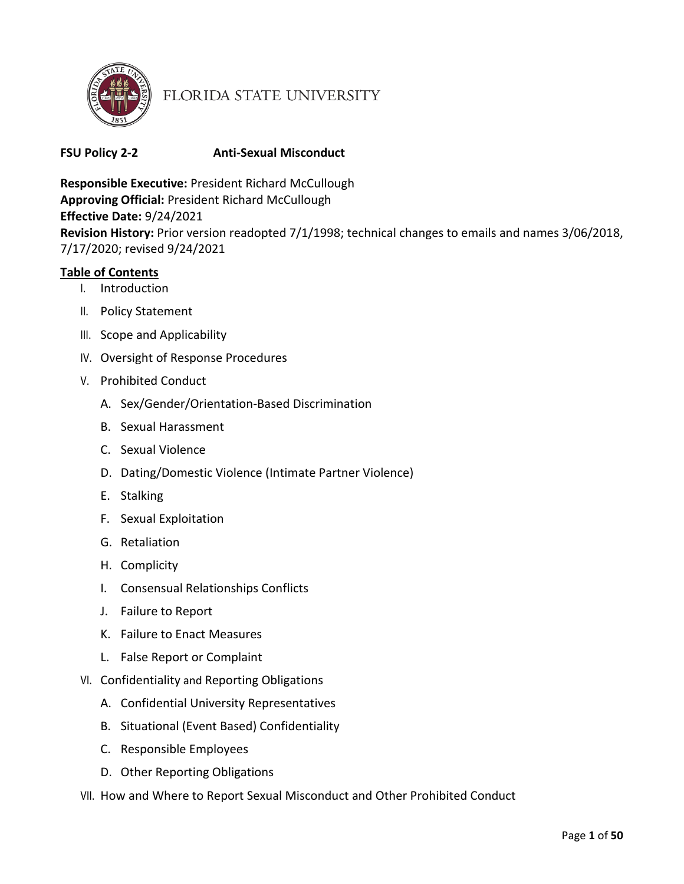

# FLORIDA STATE UNIVERSITY

# **FSU Policy 2-2 Anti-Sexual Misconduct**

**Responsible Executive:** President Richard McCullough **Approving Official:** President Richard McCullough **Effective Date:** 9/24/2021 **Revision History:** Prior version readopted 7/1/1998; technical changes to emails and names 3/06/2018, 7/17/2020; revised 9/24/2021

# **Table of Contents**

- I. Introduction
- II. Policy Statement
- III. Scope and Applicability
- IV. Oversight of Response Procedures
- V. Prohibited Conduct
	- A. Sex/Gender/Orientation-Based Discrimination
	- B. Sexual Harassment
	- C. Sexual Violence
	- D. Dating/Domestic Violence (Intimate Partner Violence)
	- E. Stalking
	- F. Sexual Exploitation
	- G. Retaliation
	- H. Complicity
	- I. Consensual Relationships Conflicts
	- J. Failure to Report
	- K. Failure to Enact Measures
	- L. False Report or Complaint
- VI. Confidentiality and Reporting Obligations
	- A. Confidential University Representatives
	- B. Situational (Event Based) Confidentiality
	- C. Responsible Employees
	- D. Other Reporting Obligations
- VII. How and Where to Report Sexual Misconduct and Other Prohibited Conduct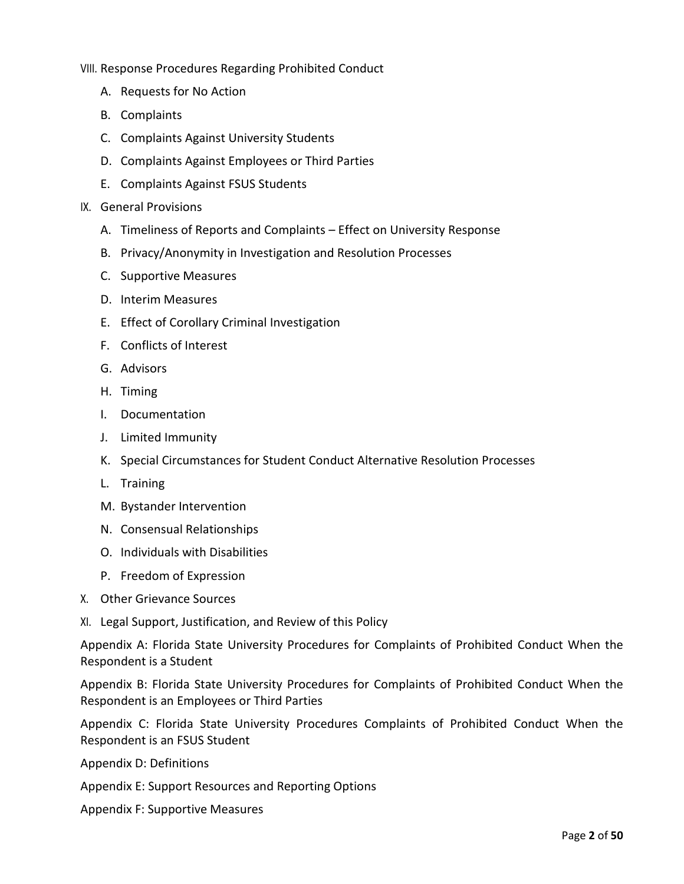VIII. Response Procedures Regarding Prohibited Conduct

- A. [Requests for No](#page-13-0) Action
- B. Complaints
- C. Complaints Against University Students
- D. Complaints Against Employees or Third Parties
- E. Complaints Against FSUS Students
- IX. General Provisions
	- A. Timeliness of Reports and Complaints Effect on University Response
	- B. Privacy/Anonymity in Investigation and Resolution Processes
	- C. [Supportive](#page-16-0) Measures
	- D. Interim Measures
	- E. Effect of Corollary Criminal Investigation
	- F. Conflicts of Interest
	- G. Advisors
	- H. Timing
	- I. Documentation
	- J. Limited Immunity
	- K. Special Circumstances for Student Conduct Alternative Resolution Processes
	- L. Training
	- M. Bystander Intervention
	- N. Consensual Relationships
	- O. Individuals with Disabilities
	- P. Freedom of Expression
- X. Other Grievance Sources
- XI. Legal Support, Justification, and Review of this Policy

Appendix A: Florida State University Procedures for Complaints of Prohibited Conduct When the Respondent is a Student

Appendix B: Florida State University Procedures for Complaints of Prohibited Conduct When the Respondent is an Employees or Third Parties

Appendix C: Florida State University Procedures Complaints of Prohibited Conduct When the Respondent is an FSUS Student

Appendix D: Definitions

Appendix E: Support Resources and Reporting Options

Appendix F: Supportive Measures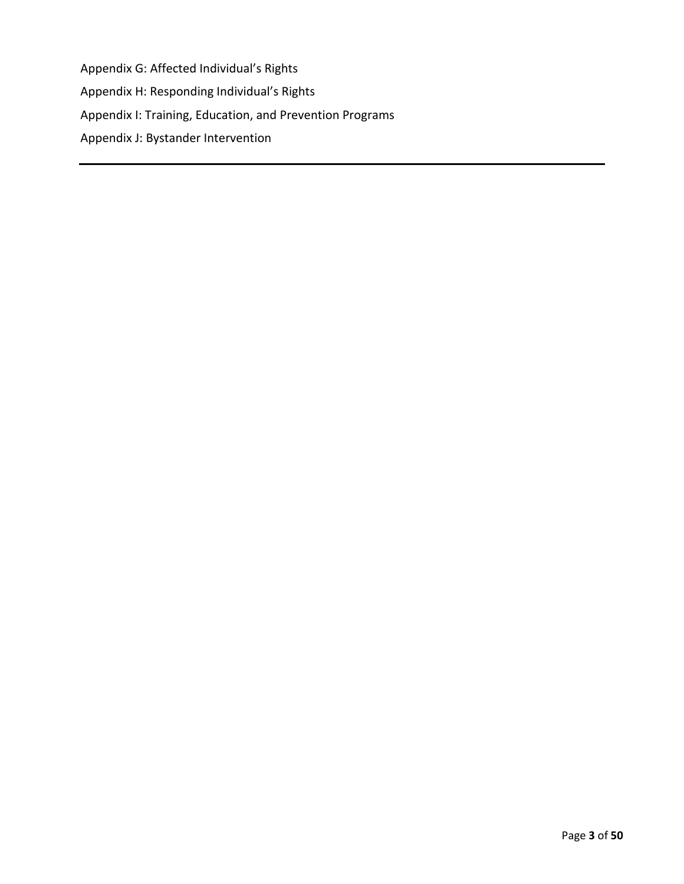Appendix G: Affected Individual's Rights

Appendix H: Responding Individual's Rights

Appendix I: Training, Education, and Prevention Programs

Appendix J: Bystander Intervention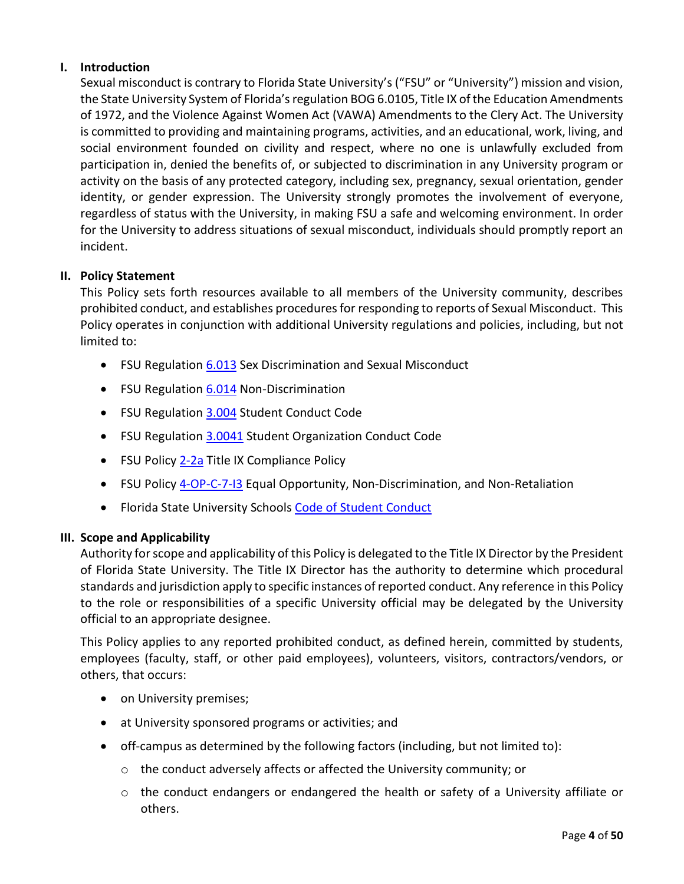# **I. Introduction**

Sexual misconduct is contrary to Florida State University's ("FSU" or "University") mission and vision, the State University System of Florida's regulation BOG 6.0105, Title IX of the Education Amendments of 1972, and the Violence Against Women Act (VAWA) Amendments to the Clery Act. The University is committed to providing and maintaining programs, activities, and an educational, work, living, and social environment founded on civility and respect, where no one is unlawfully excluded from participation in, denied the benefits of, or subjected to discrimination in any University program or activity on the basis of any protected category, including sex, pregnancy, sexual orientation, gender identity, or gender expression. The University strongly promotes the involvement of everyone, regardless of status with the University, in making FSU a safe and welcoming environment. In order for the University to address situations of sexual misconduct, individuals should promptly report an incident.

# **II. Policy Statement**

This Policy sets forth resources available to all members of the University community, describes prohibited conduct, and establishes procedures for responding to reports of Sexual Misconduct. This Policy operates in conjunction with additional University regulations and policies, including, but not limited to:

- FSU Regulation [6.013](https://regulations.fsu.edu/sites/g/files/upcbnu486/files/regulations/adopted/FSU-Chapter-6-20180717.pdf) Sex Discrimination and Sexual Misconduct
- FSU Regulation [6.014](https://regulations.fsu.edu/sites/g/files/upcbnu486/files/regulations/adopted/FSU-Chapter-6-20180717.pdf) Non-Discrimination
- FSU Regulation [3.004](https://regulations.fsu.edu/sites/g/files/upcbnu486/files/regulations/adopted/FSU-Chapter-3.pdf) Student Conduct Code
- FSU Regulation [3.0041](https://regulations.fsu.edu/sites/g/files/upcbnu486/files/regulations/adopted/FSU-Chapter-3.pdf) Student Organization Conduct Code
- FSU Polic[y 2-2a](https://regulations.fsu.edu/sites/g/files/upcbnu486/files/policies/president/FSU%20Policy%202-2a.pdf) Title IX Compliance Policy
- FSU Polic[y 4-OP-C-7-I3](https://policies.vpfa.fsu.edu/policies-and-procedures/faculty-staff/equal-opportunity-and-compliance-eoc#I3) Equal Opportunity, Non-Discrimination, and Non-Retaliation
- Florida State University Schools Code [of Student Conduct](https://www.fsus.school/domain/160)

# **III. Scope and Applicability**

Authority for scope and applicability of this Policy is delegated to the Title IX Director by the President of Florida State University. The Title IX Director has the authority to determine which procedural standards and jurisdiction apply to specific instances of reported conduct. Any reference in this Policy to the role or responsibilities of a specific University official may be delegated by the University official to an appropriate designee.

This Policy applies to any reported prohibited conduct, as defined herein, committed by students, employees (faculty, staff, or other paid employees), volunteers, visitors, contractors/vendors, or others, that occurs:

- on University premises;
- at University sponsored programs or activities; and
- off-campus as determined by the following factors (including, but not limited to):
	- o the conduct adversely affects or affected the University community; or
	- $\circ$  the conduct endangers or endangered the health or safety of a University affiliate or others.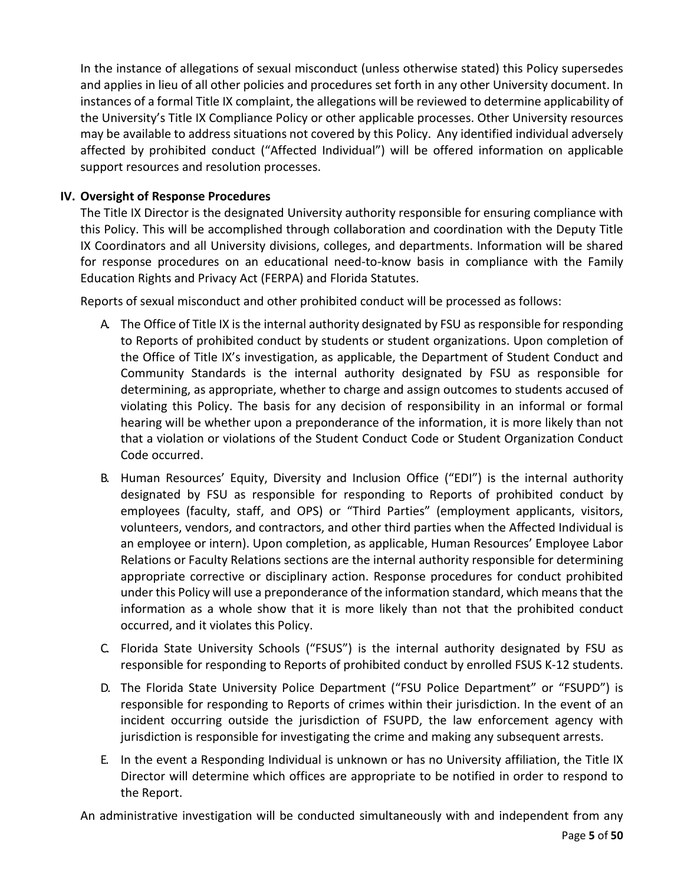In the instance of allegations of sexual misconduct (unless otherwise stated) this Policy supersedes and applies in lieu of all other policies and procedures set forth in any other University document. In instances of a formal Title IX complaint, the allegations will be reviewed to determine applicability of the University's Title IX Compliance Policy or other applicable processes. Other University resources may be available to address situations not covered by this Policy. Any identified individual adversely affected by prohibited conduct ("Affected Individual") will be offered information on applicable support resources and resolution processes.

## **IV. Oversight of Response Procedures**

The Title IX Director is the designated University authority responsible for ensuring compliance with this Policy. This will be accomplished through collaboration and coordination with the Deputy Title IX Coordinators and all University divisions, colleges, and departments. Information will be shared for response procedures on an educational need-to-know basis in compliance with the Family Education Rights and Privacy Act (FERPA) and Florida Statutes.

Reports of sexual misconduct and other prohibited conduct will be processed as follows:

- A. The Office of Title IX is the internal authority designated by FSU as responsible for responding to Reports of prohibited conduct by students or student organizations. Upon completion of the Office of Title IX's investigation, as applicable, the Department of Student Conduct and Community Standards is the internal authority designated by FSU as responsible for determining, as appropriate, whether to charge and assign outcomes to students accused of violating this Policy. The basis for any decision of responsibility in an informal or formal hearing will be whether upon a preponderance of the information, it is more likely than not that a violation or violations of the Student Conduct Code or Student Organization Conduct Code occurred.
- B. Human Resources' Equity, Diversity and Inclusion Office ("EDI") is the internal authority designated by FSU as responsible for responding to Reports of prohibited conduct by employees (faculty, staff, and OPS) or "Third Parties" (employment applicants, visitors, volunteers, vendors, and contractors, and other third parties when the Affected Individual is an employee or intern). Upon completion, as applicable, Human Resources' Employee Labor Relations or Faculty Relations sections are the internal authority responsible for determining appropriate corrective or disciplinary action. Response procedures for conduct prohibited under this Policy will use a preponderance of the information standard, which means that the information as a whole show that it is more likely than not that the prohibited conduct occurred, and it violates this Policy.
- C. Florida State University Schools ("FSUS") is the internal authority designated by FSU as responsible for responding to Reports of prohibited conduct by enrolled FSUS K-12 students.
- D. The Florida State University Police Department ("FSU Police Department" or "FSUPD") is responsible for responding to Reports of crimes within their jurisdiction. In the event of an incident occurring outside the jurisdiction of FSUPD, the law enforcement agency with jurisdiction is responsible for investigating the crime and making any subsequent arrests.
- E. In the event a Responding Individual is unknown or has no University affiliation, the Title IX Director will determine which offices are appropriate to be notified in order to respond to the Report.

An administrative investigation will be conducted simultaneously with and independent from any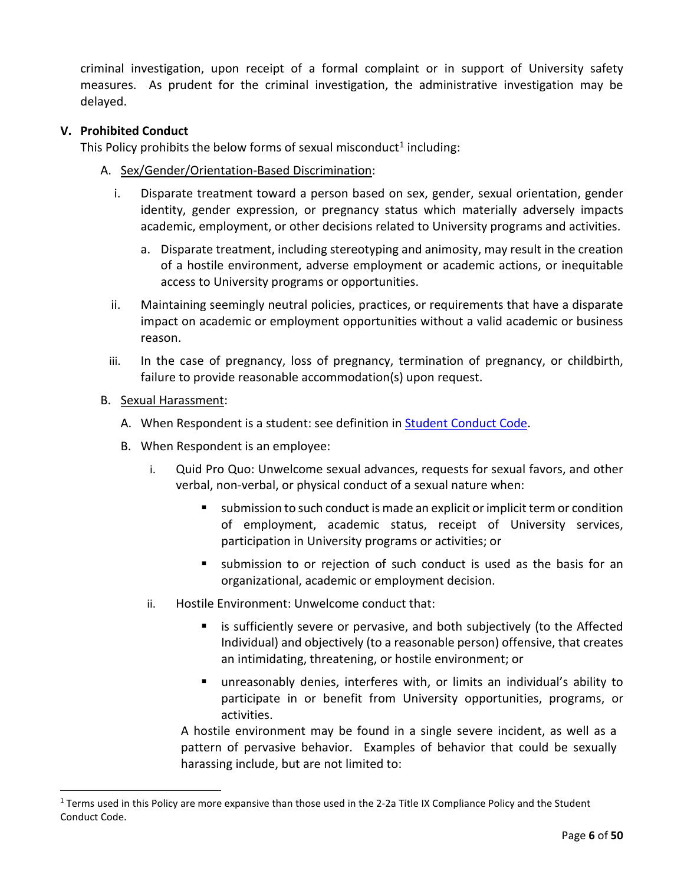criminal investigation, upon receipt of a formal complaint or in support of University safety measures. As prudent for the criminal investigation, the administrative investigation may be delayed.

### **V. Prohibited Conduct**

This Policy prohibits the below forms of sexual misconduct<sup>[1](#page-5-0)</sup> including:

- A. Sex/Gender/Orientation-Based Discrimination:
	- i. Disparate treatment toward a person based on sex, gender, sexual orientation, gender identity, gender expression, or pregnancy status which materially adversely impacts academic, employment, or other decisions related to University programs and activities.
		- a. Disparate treatment, including stereotyping and animosity, may result in the creation of a hostile environment, adverse employment or academic actions, or inequitable access to University programs or opportunities.
	- ii. Maintaining seemingly neutral policies, practices, or requirements that have a disparate impact on academic or employment opportunities without a valid academic or business reason.
	- iii. In the case of pregnancy, loss of pregnancy, termination of pregnancy, or childbirth, failure to provide reasonable accommodation(s) upon request.
- B. Sexual Harassment:
	- A. When Respondent is a student: see definition in **Student Conduct Code**.
	- B. When Respondent is an employee:
		- i. Quid Pro Quo: Unwelcome sexual advances, requests for sexual favors, and other verbal, non-verbal, or physical conduct of a sexual nature when:
			- submission to such conduct is made an explicit or implicit term or condition of employment, academic status, receipt of University services, participation in University programs or activities; or
			- submission to or rejection of such conduct is used as the basis for an organizational, academic or employment decision.
		- ii. Hostile Environment: Unwelcome conduct that:
			- **EXT** is sufficiently severe or pervasive, and both subjectively (to the Affected Individual) and objectively (to a reasonable person) offensive, that creates an intimidating, threatening, or hostile environment; or
			- unreasonably denies, interferes with, or limits an individual's ability to participate in or benefit from University opportunities, programs, or activities.

A hostile environment may be found in a single severe incident, as well as a pattern of pervasive behavior. Examples of behavior that could be sexually harassing include, but are not limited to:

<span id="page-5-0"></span><sup>1</sup> Terms used in this Policy are more expansive than those used in the 2-2a Title IX Compliance Policy and the Student Conduct Code.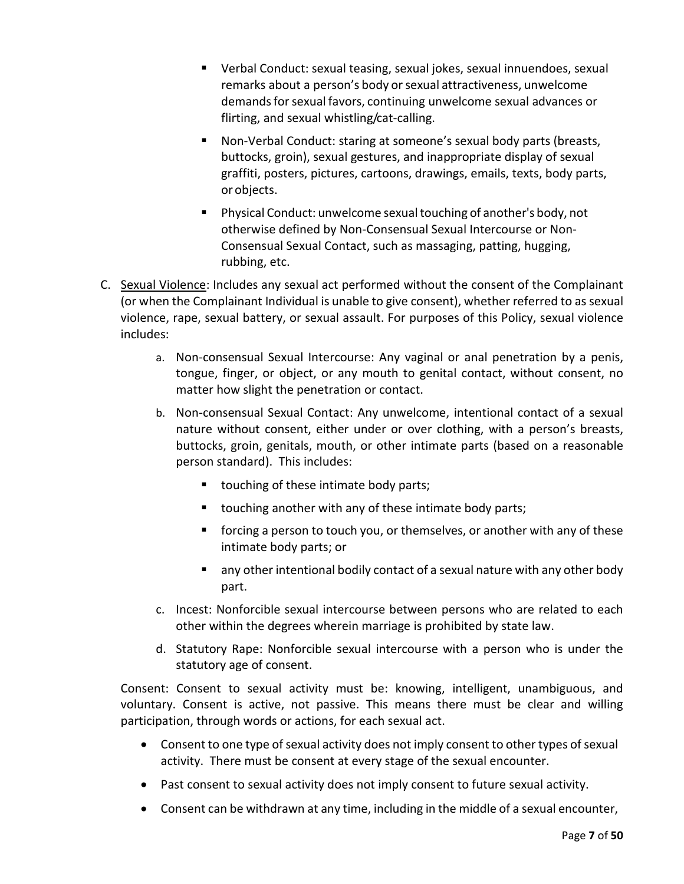- Verbal Conduct: sexual teasing, sexual jokes, sexual innuendoes, sexual remarks about a person's body or sexual attractiveness, unwelcome demands for sexual favors, continuing unwelcome sexual advances or flirting, and sexual whistling/cat-calling.
- Non-Verbal Conduct: staring at someone's sexual body parts (breasts, buttocks, groin), sexual gestures, and inappropriate display of sexual graffiti, posters, pictures, cartoons, drawings, emails, texts, body parts, or objects.
- **Physical Conduct: unwelcome sexual touching of another's body, not** otherwise defined by Non-Consensual Sexual Intercourse or Non-Consensual Sexual Contact, such as massaging, patting, hugging, rubbing, etc.
- C. Sexual Violence: Includes any sexual act performed without the consent of the Complainant (or when the Complainant Individual is unable to give consent), whether referred to as sexual violence, rape, sexual battery, or sexual assault. For purposes of this Policy, sexual violence includes:
	- a. Non-consensual Sexual Intercourse: Any vaginal or anal penetration by a penis, tongue, finger, or object, or any mouth to genital contact, without consent, no matter how slight the penetration or contact.
	- b. Non-consensual Sexual Contact: Any unwelcome, intentional contact of a sexual nature without consent, either under or over clothing, with a person's breasts, buttocks, groin, genitals, mouth, or other intimate parts (based on a reasonable person standard). This includes:
		- **touching of these intimate body parts;**
		- touching another with any of these intimate body parts;
		- forcing a person to touch you, or themselves, or another with any of these intimate body parts; or
		- **E** any other intentional bodily contact of a sexual nature with any other body part.
	- c. Incest: Nonforcible sexual intercourse between persons who are related to each other within the degrees wherein marriage is prohibited by state law.
	- d. Statutory Rape: Nonforcible sexual intercourse with a person who is under the statutory age of consent.

Consent: Consent to sexual activity must be: knowing, intelligent, unambiguous, and voluntary. Consent is active, not passive. This means there must be clear and willing participation, through words or actions, for each sexual act.

- Consent to one type of sexual activity does not imply consent to other types of sexual activity. There must be consent at every stage of the sexual encounter.
- Past consent to sexual activity does not imply consent to future sexual activity.
- Consent can be withdrawn at any time, including in the middle of a sexual encounter,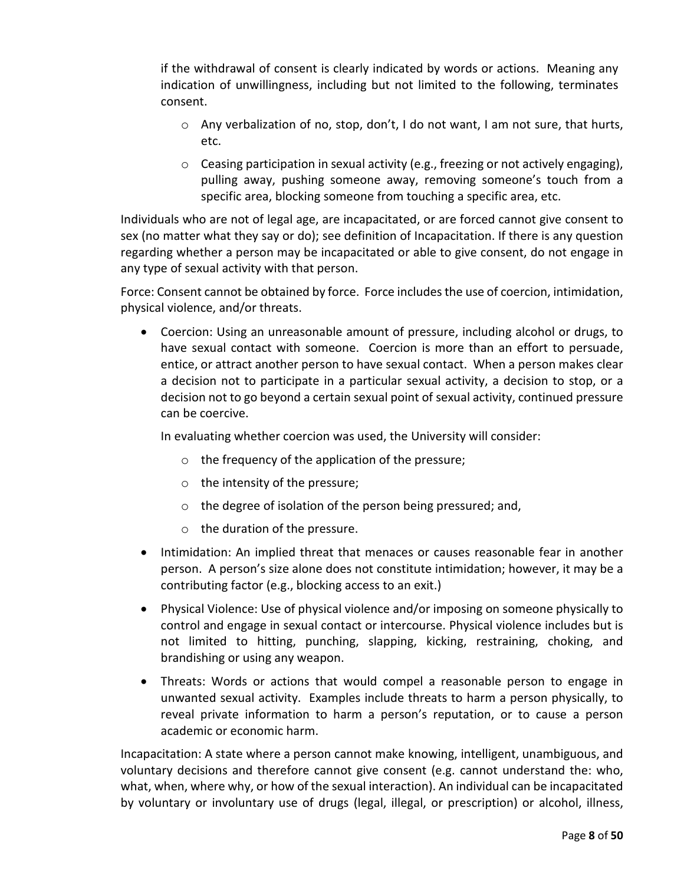if the withdrawal of consent is clearly indicated by words or actions. Meaning any indication of unwillingness, including but not limited to the following, terminates consent.

- o Any verbalization of no, stop, don't, I do not want, I am not sure, that hurts, etc.
- $\circ$  Ceasing participation in sexual activity (e.g., freezing or not actively engaging), pulling away, pushing someone away, removing someone's touch from a specific area, blocking someone from touching a specific area, etc.

Individuals who are not of legal age, are incapacitated, or are forced cannot give consent to sex (no matter what they say or do); see definition of Incapacitation. If there is any question regarding whether a person may be incapacitated or able to give consent, do not engage in any type of sexual activity with that person.

Force: Consent cannot be obtained by force. Force includes the use of coercion, intimidation, physical violence, and/or threats.

• Coercion: Using an unreasonable amount of pressure, including alcohol or drugs, to have sexual contact with someone. Coercion is more than an effort to persuade, entice, or attract another person to have sexual contact. When a person makes clear a decision not to participate in a particular sexual activity, a decision to stop, or a decision not to go beyond a certain sexual point of sexual activity, continued pressure can be coercive.

In evaluating whether coercion was used, the University will consider:

- o the frequency of the application of the pressure;
- o the intensity of the pressure;
- o the degree of isolation of the person being pressured; and,
- o the duration of the pressure.
- Intimidation: An implied threat that menaces or causes reasonable fear in another person. A person's size alone does not constitute intimidation; however, it may be a contributing factor (e.g., blocking access to an exit.)
- Physical Violence: Use of physical violence and/or imposing on someone physically to control and engage in sexual contact or intercourse. Physical violence includes but is not limited to hitting, punching, slapping, kicking, restraining, choking, and brandishing or using any weapon.
- Threats: Words or actions that would compel a reasonable person to engage in unwanted sexual activity. Examples include threats to harm a person physically, to reveal private information to harm a person's reputation, or to cause a person academic or economic harm.

Incapacitation: A state where a person cannot make knowing, intelligent, unambiguous, and voluntary decisions and therefore cannot give consent (e.g. cannot understand the: who, what, when, where why, or how of the sexual interaction). An individual can be incapacitated by voluntary or involuntary use of drugs (legal, illegal, or prescription) or alcohol, illness,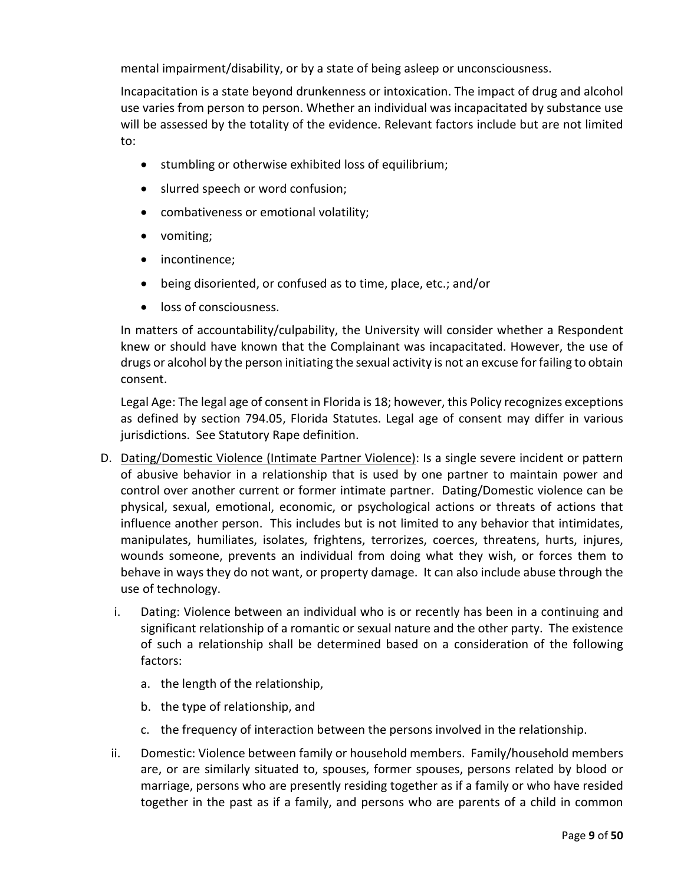mental impairment/disability, or by a state of being asleep or unconsciousness.

Incapacitation is a state beyond drunkenness or intoxication. The impact of drug and alcohol use varies from person to person. Whether an individual was incapacitated by substance use will be assessed by the totality of the evidence. Relevant factors include but are not limited to:

- stumbling or otherwise exhibited loss of equilibrium;
- slurred speech or word confusion;
- combativeness or emotional volatility;
- vomiting;
- incontinence;
- being disoriented, or confused as to time, place, etc.; and/or
- loss of consciousness.

In matters of accountability/culpability, the University will consider whether a Respondent knew or should have known that the Complainant was incapacitated. However, the use of drugs or alcohol by the person initiating the sexual activity is not an excuse for failing to obtain consent.

Legal Age: The legal age of consent in Florida is 18; however, this Policy recognizes exceptions as defined by section 794.05, Florida Statutes. Legal age of consent may differ in various jurisdictions. See Statutory Rape definition.

- D. Dating/Domestic Violence (Intimate Partner Violence): Is a single severe incident or pattern of abusive behavior in a relationship that is used by one partner to maintain power and control over another current or former intimate partner. Dating/Domestic violence can be physical, sexual, emotional, economic, or psychological actions or threats of actions that influence another person. This includes but is not limited to any behavior that intimidates, manipulates, humiliates, isolates, frightens, terrorizes, coerces, threatens, hurts, injures, wounds someone, prevents an individual from doing what they wish, or forces them to behave in ways they do not want, or property damage. It can also include abuse through the use of technology.
	- i. Dating: Violence between an individual who is or recently has been in a continuing and significant relationship of a romantic or sexual nature and the other party. The existence of such a relationship shall be determined based on a consideration of the following factors:
		- a. the length of the relationship,
		- b. the type of relationship, and
		- c. the frequency of interaction between the persons involved in the relationship.
	- ii. Domestic: Violence between family or household members. Family/household members are, or are similarly situated to, spouses, former spouses, persons related by blood or marriage, persons who are presently residing together as if a family or who have resided together in the past as if a family, and persons who are parents of a child in common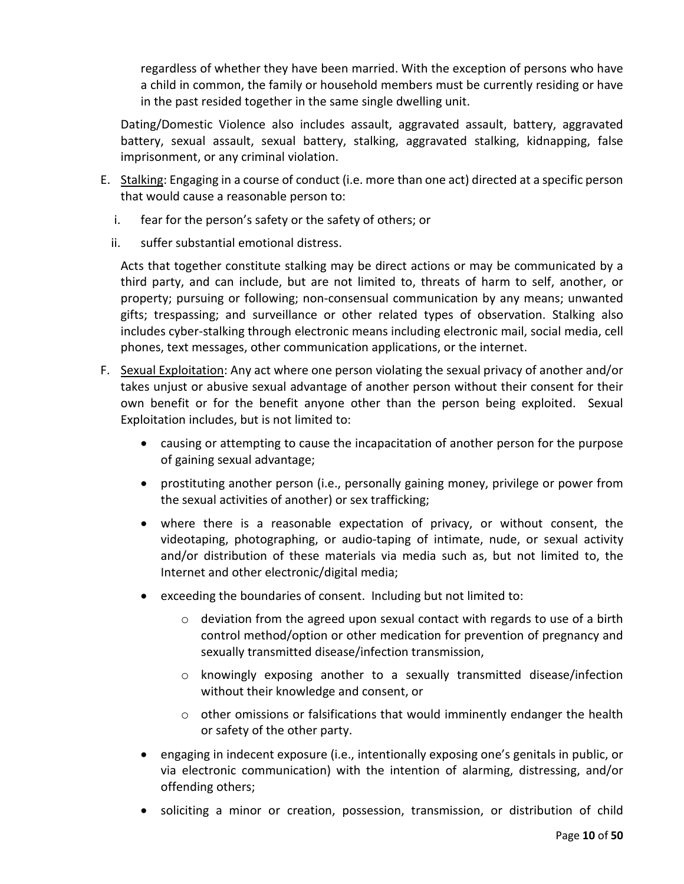regardless of whether they have been married. With the exception of persons who have a child in common, the family or household members must be currently residing or have in the past resided together in the same single dwelling unit.

Dating/Domestic Violence also includes assault, aggravated assault, battery, aggravated battery, sexual assault, sexual battery, stalking, aggravated stalking, kidnapping, false imprisonment, or any criminal violation.

- E. Stalking: Engaging in a course of conduct (i.e. more than one act) directed at a specific person that would cause a reasonable person to:
	- i. fear for the person's safety or the safety of others; or
	- ii. suffer substantial emotional distress.

Acts that together constitute stalking may be direct actions or may be communicated by a third party, and can include, but are not limited to, threats of harm to self, another, or property; pursuing or following; non-consensual communication by any means; unwanted gifts; trespassing; and surveillance or other related types of observation. Stalking also includes cyber-stalking through electronic means including electronic mail, social media, cell phones, text messages, other communication applications, or the internet.

- F. Sexual Exploitation: Any act where one person violating the sexual privacy of another and/or takes unjust or abusive sexual advantage of another person without their consent for their own benefit or for the benefit anyone other than the person being exploited. Sexual Exploitation includes, but is not limited to:
	- causing or attempting to cause the incapacitation of another person for the purpose of gaining sexual advantage;
	- prostituting another person (i.e., personally gaining money, privilege or power from the sexual activities of another) or sex trafficking;
	- where there is a reasonable expectation of privacy, or without consent, the videotaping, photographing, or audio-taping of intimate, nude, or sexual activity and/or distribution of these materials via media such as, but not limited to, the Internet and other electronic/digital media;
	- exceeding the boundaries of consent. Including but not limited to:
		- o deviation from the agreed upon sexual contact with regards to use of a birth control method/option or other medication for prevention of pregnancy and sexually transmitted disease/infection transmission,
		- o knowingly exposing another to a sexually transmitted disease/infection without their knowledge and consent, or
		- $\circ$  other omissions or falsifications that would imminently endanger the health or safety of the other party.
	- engaging in indecent exposure (i.e., intentionally exposing one's genitals in public, or via electronic communication) with the intention of alarming, distressing, and/or offending others;
	- soliciting a minor or creation, possession, transmission, or distribution of child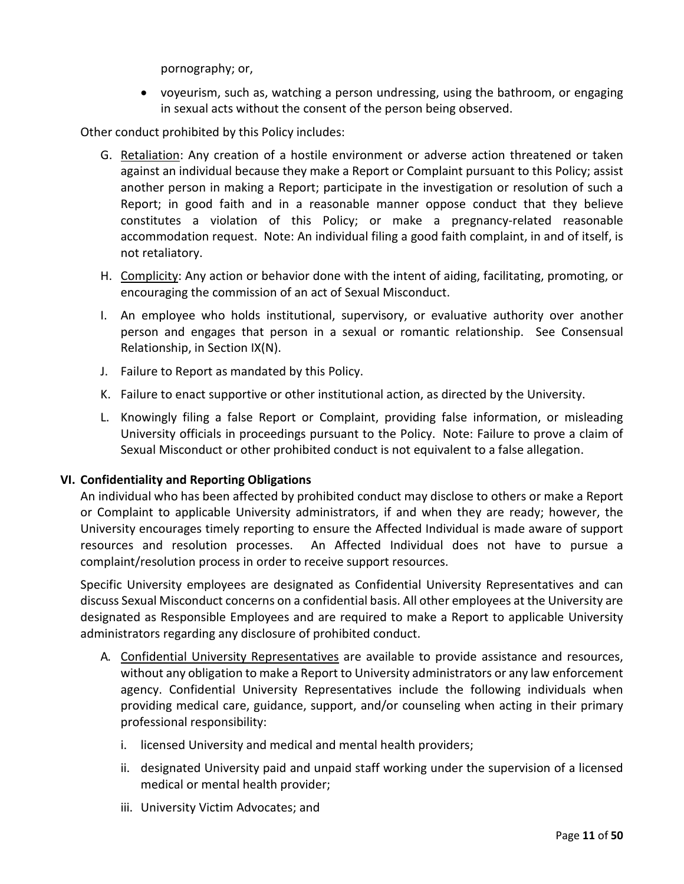pornography; or,

• voyeurism, such as, watching a person undressing, using the bathroom, or engaging in sexual acts without the consent of the person being observed.

Other conduct prohibited by this Policy includes:

- G. Retaliation: Any creation of a hostile environment or adverse action threatened or taken against an individual because they make a Report or Complaint pursuant to this Policy; assist another person in making a Report; participate in the investigation or resolution of such a Report; in good faith and in a reasonable manner oppose conduct that they believe constitutes a violation of this Policy; or make a pregnancy-related reasonable accommodation request. Note: An individual filing a good faith complaint, in and of itself, is not retaliatory.
- H. Complicity: Any action or behavior done with the intent of aiding, facilitating, promoting, or encouraging the commission of an act of Sexual Misconduct.
- I. An employee who holds institutional, supervisory, or evaluative authority over another person and engages that person in a sexual or romantic relationship. See Consensual Relationship, in Section IX(N).
- J. Failure to Report as mandated by this Policy.
- K. Failure to enact supportive or other institutional action, as directed by the University.
- L. Knowingly filing a false Report or Complaint, providing false information, or misleading University officials in proceedings pursuant to the Policy. Note: Failure to prove a claim of Sexual Misconduct or other prohibited conduct is not equivalent to a false allegation.

### **VI. Confidentiality and Reporting Obligations**

An individual who has been affected by prohibited conduct may disclose to others or make a Report or Complaint to applicable University administrators, if and when they are ready; however, the University encourages timely reporting to ensure the Affected Individual is made aware of support resources and resolution processes. An Affected Individual does not have to pursue a complaint/resolution process in order to receive support resources.

Specific University employees are designated as Confidential University Representatives and can discuss Sexual Misconduct concerns on a confidential basis. All other employees at the University are designated as Responsible Employees and are required to make a Report to applicable University administrators regarding any disclosure of prohibited conduct.

- A. Confidential University Representatives are available to provide assistance and resources, without any obligation to make a Report to University administrators or any law enforcement agency. Confidential University Representatives include the following individuals when providing medical care, guidance, support, and/or counseling when acting in their primary professional responsibility:
	- i. licensed University and medical and mental health providers;
	- ii. designated University paid and unpaid staff working under the supervision of a licensed medical or mental health provider;
	- iii. University Victim Advocates; and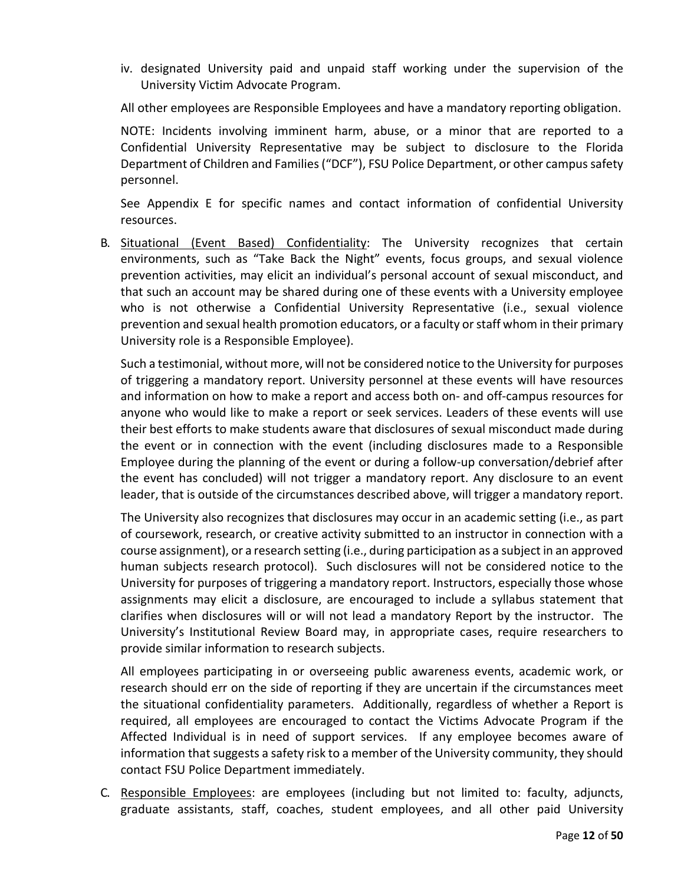iv. designated University paid and unpaid staff working under the supervision of the University Victim Advocate Program.

All other employees are Responsible Employees and have a mandatory reporting obligation.

NOTE: Incidents involving imminent harm, abuse, or a minor that are reported to a Confidential University Representative may be subject to disclosure to the Florida Department of Children and Families ("DCF"), FSU Police Department, or other campus safety personnel.

See Appendix E for specific names and contact information of confidential University resources.

B. Situational (Event Based) Confidentiality: The University recognizes that certain environments, such as "Take Back the Night" events, focus groups, and sexual violence prevention activities, may elicit an individual's personal account of sexual misconduct, and that such an account may be shared during one of these events with a University employee who is not otherwise a Confidential University Representative (i.e., sexual violence prevention and sexual health promotion educators, or a faculty or staff whom in their primary University role is a Responsible Employee).

Such a testimonial, without more, will not be considered notice to the University for purposes of triggering a mandatory report. University personnel at these events will have resources and information on how to make a report and access both on- and off-campus resources for anyone who would like to make a report or seek services. Leaders of these events will use their best efforts to make students aware that disclosures of sexual misconduct made during the event or in connection with the event (including disclosures made to a Responsible Employee during the planning of the event or during a follow-up conversation/debrief after the event has concluded) will not trigger a mandatory report. Any disclosure to an event leader, that is outside of the circumstances described above, will trigger a mandatory report.

The University also recognizes that disclosures may occur in an academic setting (i.e., as part of coursework, research, or creative activity submitted to an instructor in connection with a course assignment), or a research setting (i.e., during participation as a subject in an approved human subjects research protocol). Such disclosures will not be considered notice to the University for purposes of triggering a mandatory report. Instructors, especially those whose assignments may elicit a disclosure, are encouraged to include a syllabus statement that clarifies when disclosures will or will not lead a mandatory Report by the instructor. The University's Institutional Review Board may, in appropriate cases, require researchers to provide similar information to research subjects.

All employees participating in or overseeing public awareness events, academic work, or research should err on the side of reporting if they are uncertain if the circumstances meet the situational confidentiality parameters. Additionally, regardless of whether a Report is required, all employees are encouraged to contact the Victims Advocate Program if the Affected Individual is in need of support services. If any employee becomes aware of information that suggests a safety risk to a member of the University community, they should contact FSU Police Department immediately.

C. Responsible Employees: are employees (including but not limited to: faculty, adjuncts, graduate assistants, staff, coaches, student employees, and all other paid University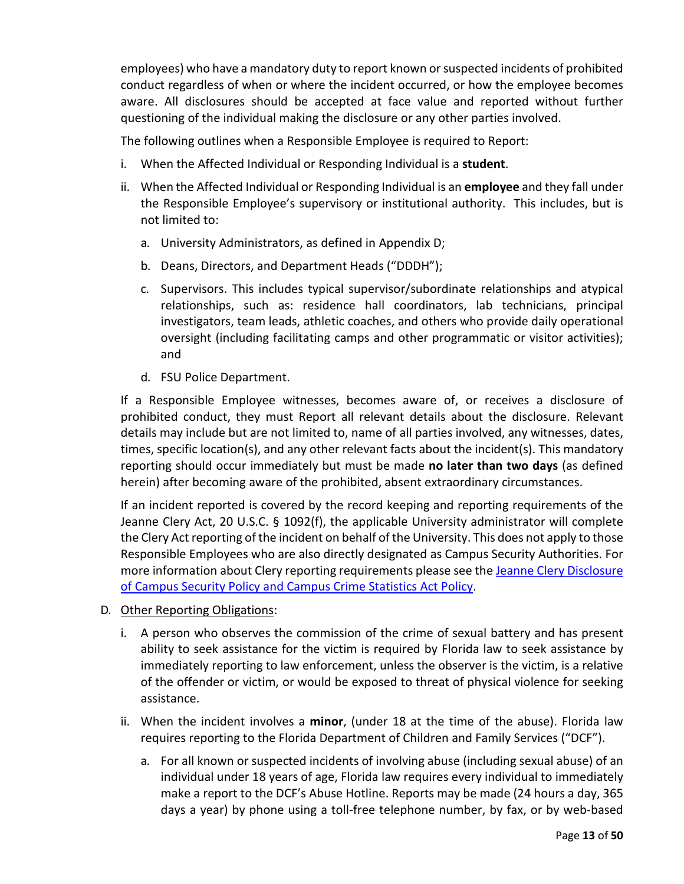employees) who have a mandatory duty to report known or suspected incidents of prohibited conduct regardless of when or where the incident occurred, or how the employee becomes aware. All disclosures should be accepted at face value and reported without further questioning of the individual making the disclosure or any other parties involved.

The following outlines when a Responsible Employee is required to Report:

- i. When the Affected Individual or Responding Individual is a **student**.
- ii. When the Affected Individual or Responding Individual is an **employee** and they fall under the Responsible Employee's supervisory or institutional authority. This includes, but is not limited to:
	- a. University Administrators, as defined in Appendix D;
	- b. Deans, Directors, and Department Heads ("DDDH");
	- c. Supervisors. This includes typical supervisor/subordinate relationships and atypical relationships, such as: residence hall coordinators, lab technicians, principal investigators, team leads, athletic coaches, and others who provide daily operational oversight (including facilitating camps and other programmatic or visitor activities); and
	- d. FSU Police Department.

If a Responsible Employee witnesses, becomes aware of, or receives a disclosure of prohibited conduct, they must Report all relevant details about the disclosure. Relevant details may include but are not limited to, name of all parties involved, any witnesses, dates, times, specific location(s), and any other relevant facts about the incident(s). This mandatory reporting should occur immediately but must be made **no later than two days** (as defined herein) after becoming aware of the prohibited, absent extraordinary circumstances.

If an incident reported is covered by the record keeping and reporting requirements of the Jeanne Clery Act, 20 U.S.C. § 1092(f), the applicable University administrator will complete the Clery Act reporting of the incident on behalf of the University. This does not apply to those Responsible Employees who are also directly designated as Campus Security Authorities. For more information about Clery reporting requirements please see the Jeanne Clery Disclosure [of Campus Security Policy and Campus Crime Statistics](https://police.fsu.edu/clery-act-crime-reporting) Act Policy.

- D. Other Reporting Obligations:
	- i. A person who observes the commission of the crime of sexual battery and has present ability to seek assistance for the victim is required by Florida law to seek assistance by immediately reporting to law enforcement, unless the observer is the victim, is a relative of the offender or victim, or would be exposed to threat of physical violence for seeking assistance.
	- ii. When the incident involves a **minor**, (under 18 at the time of the abuse). Florida law requires reporting to the Florida Department of Children and Family Services ("DCF").
		- a. For all known or suspected incidents of involving abuse (including sexual abuse) of an individual under 18 years of age, Florida law requires every individual to immediately make a report to the DCF's Abuse Hotline. Reports may be made (24 hours a day, 365 days a year) by phone using a toll-free telephone number, by fax, or by web-based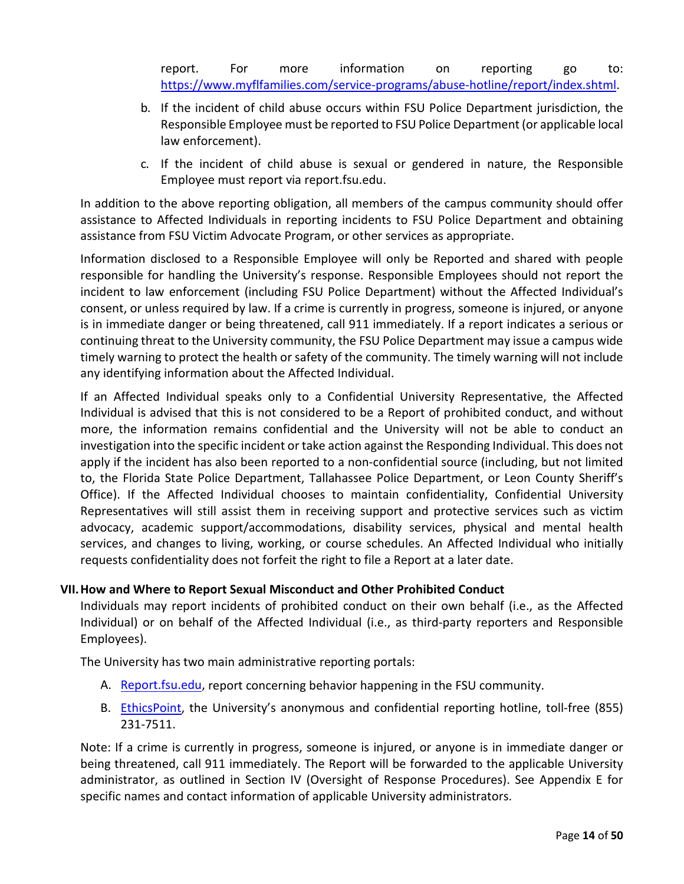report. For more information on reporting go to: [https://www.myflfamilies.com/service-programs/abuse-hotline/report/index.shtml.](https://www.myflfamilies.com/service-programs/abuse-hotline/report/index.shtml)

- b. If the incident of child abuse occurs within FSU Police Department jurisdiction, the Responsible Employee must be reported to FSU Police Department (or applicable local law enforcement).
- c. If the incident of child abuse is sexual or gendered in nature, the Responsible Employee must report via report.fsu.edu.

In addition to the above reporting obligation, all members of the campus community should offer assistance to Affected Individuals in reporting incidents to FSU Police Department and obtaining assistance from FSU Victim Advocate Program, or other services as appropriate.

Information disclosed to a Responsible Employee will only be Reported and shared with people responsible for handling the University's response. Responsible Employees should not report the incident to law enforcement (including FSU Police Department) without the Affected Individual's consent, or unless required by law. If a crime is currently in progress, someone is injured, or anyone is in immediate danger or being threatened, call 911 immediately. If a report indicates a serious or continuing threat to the University community, the FSU Police Department may issue a campus wide timely warning to protect the health or safety of the community. The timely warning will not include any identifying information about the Affected Individual.

If an Affected Individual speaks only to a Confidential University Representative, the Affected Individual is advised that this is not considered to be a Report of prohibited conduct, and without more, the information remains confidential and the University will not be able to conduct an investigation into the specific incident or take action against the Responding Individual. This does not apply if the incident has also been reported to a non-confidential source (including, but not limited to, the Florida State Police Department, Tallahassee Police Department, or Leon County Sheriff's Office). If the Affected Individual chooses to maintain confidentiality, Confidential University Representatives will still assist them in receiving support and protective services such as victim advocacy, academic support/accommodations, disability services, physical and mental health services, and changes to living, working, or course schedules. An Affected Individual who initially requests confidentiality does not forfeit the right to file a Report at a later date.

# <span id="page-13-0"></span>**VII.How and Where to Report Sexual Misconduct and Other Prohibited Conduct**

Individuals may report incidents of prohibited conduct on their own behalf (i.e., as the Affected Individual) or on behalf of the Affected Individual (i.e., as third-party reporters and Responsible Employees).

The University has two main administrative reporting portals:

- A. [Report.fsu.edu, r](https://report.fsu.edu/)eport concerning behavior happening in the FSU community.
- B. [EthicsPoint, t](https://secure.ethicspoint.com/domain/media/en/gui/32441/index.html)he University's anonymous and confidential reporting hotline, toll-free (855) 231-7511.

Note: If a crime is currently in progress, someone is injured, or anyone is in immediate danger or being threatened, call 911 immediately. The Report will be forwarded to the applicable University administrator, as outlined in Section IV (Oversight of Response Procedures). See Appendix E for specific names and contact information of applicable University administrators.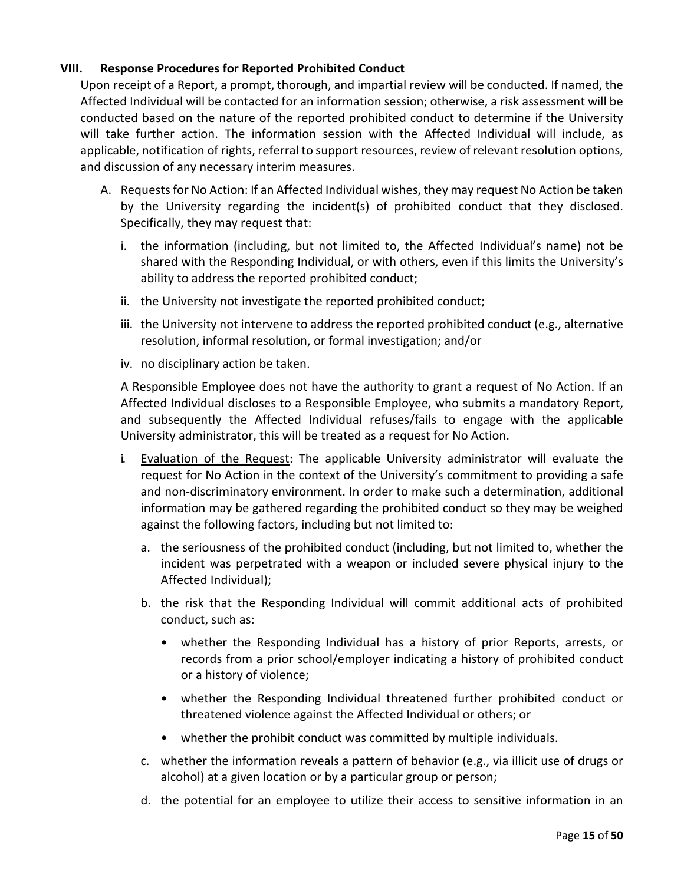## **VIII. Response Procedures for Reported Prohibited Conduct**

Upon receipt of a Report, a prompt, thorough, and impartial review will be conducted. If named, the Affected Individual will be contacted for an information session; otherwise, a risk assessment will be conducted based on the nature of the reported prohibited conduct to determine if the University will take further action. The information session with the Affected Individual will include, as applicable, notification of rights, referral to support resources, review of relevant resolution options, and discussion of any necessary interim measures.

- A. Requests for No Action: If an Affected Individual wishes, they may request No Action be taken by the University regarding the incident(s) of prohibited conduct that they disclosed. Specifically, they may request that:
	- i. the information (including, but not limited to, the Affected Individual's name) not be shared with the Responding Individual, or with others, even if this limits the University's ability to address the reported prohibited conduct;
	- ii. the University not investigate the reported prohibited conduct;
	- iii. the University not intervene to address the reported prohibited conduct (e.g., alternative resolution, informal resolution, or formal investigation; and/or
	- iv. no disciplinary action be taken.

A Responsible Employee does not have the authority to grant a request of No Action. If an Affected Individual discloses to a Responsible Employee, who submits a mandatory Report, and subsequently the Affected Individual refuses/fails to engage with the applicable University administrator, this will be treated as a request for No Action.

- i. Evaluation of the Request: The applicable University administrator will evaluate the request for No Action in the context of the University's commitment to providing a safe and non-discriminatory environment. In order to make such a determination, additional information may be gathered regarding the prohibited conduct so they may be weighed against the following factors, including but not limited to:
	- a. the seriousness of the prohibited conduct (including, but not limited to, whether the incident was perpetrated with a weapon or included severe physical injury to the Affected Individual);
	- b. the risk that the Responding Individual will commit additional acts of prohibited conduct, such as:
		- whether the Responding Individual has a history of prior Reports, arrests, or records from a prior school/employer indicating a history of prohibited conduct or a history of violence;
		- whether the Responding Individual threatened further prohibited conduct or threatened violence against the Affected Individual or others; or
		- whether the prohibit conduct was committed by multiple individuals.
	- c. whether the information reveals a pattern of behavior (e.g., via illicit use of drugs or alcohol) at a given location or by a particular group or person;
	- d. the potential for an employee to utilize their access to sensitive information in an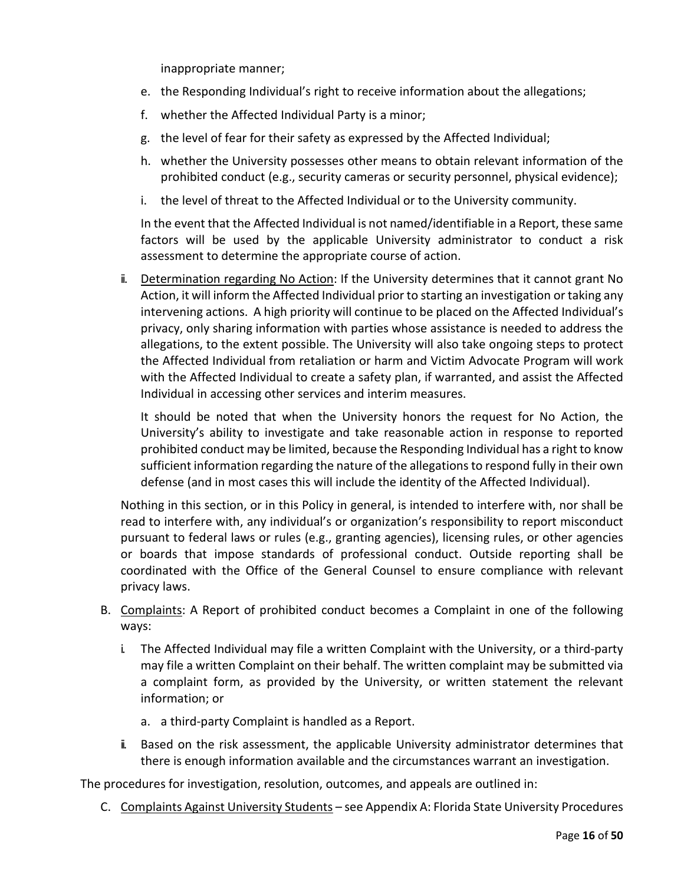inappropriate manner;

- e. the Responding Individual's right to receive information about the allegations;
- f. whether the Affected Individual Party is a minor;
- g. the level of fear for their safety as expressed by the Affected Individual;
- h. whether the University possesses other means to obtain relevant information of the prohibited conduct (e.g., security cameras or security personnel, physical evidence);
- i. the level of threat to the Affected Individual or to the University community.

In the event that the Affected Individual is not named/identifiable in a Report, these same factors will be used by the applicable University administrator to conduct a risk assessment to determine the appropriate course of action.

ii. Determination regarding No Action: If the University determines that it cannot grant No Action, it will inform the Affected Individual prior to starting an investigation or taking any intervening actions. A high priority will continue to be placed on the Affected Individual's privacy, only sharing information with parties whose assistance is needed to address the allegations, to the extent possible. The University will also take ongoing steps to protect the Affected Individual from retaliation or harm and Victim Advocate Program will work with the Affected Individual to create a safety plan, if warranted, and assist the Affected Individual in accessing other services and interim measures.

It should be noted that when the University honors the request for No Action, the University's ability to investigate and take reasonable action in response to reported prohibited conduct may be limited, because the Responding Individual has a right to know sufficient information regarding the nature of the allegations to respond fully in their own defense (and in most cases this will include the identity of the Affected Individual).

Nothing in this section, or in this Policy in general, is intended to interfere with, nor shall be read to interfere with, any individual's or organization's responsibility to report misconduct pursuant to federal laws or rules (e.g., granting agencies), licensing rules, or other agencies or boards that impose standards of professional conduct. Outside reporting shall be coordinated with the Office of the General Counsel to ensure compliance with relevant privacy laws.

- B. Complaints: A Report of prohibited conduct becomes a Complaint in one of the following ways:
	- i. The Affected Individual may file a written Complaint with the University, or a third-party may file a written Complaint on their behalf. The written complaint may be submitted via a complaint form, as provided by the University, or written statement the relevant information; or
		- a. a third-party Complaint is handled as a Report.
	- ii. Based on the risk assessment, the applicable University administrator determines that there is enough information available and the circumstances warrant an investigation.

The procedures for investigation, resolution, outcomes, and appeals are outlined in:

C. Complaints Against University Students – see Appendix A: Florida State University Procedures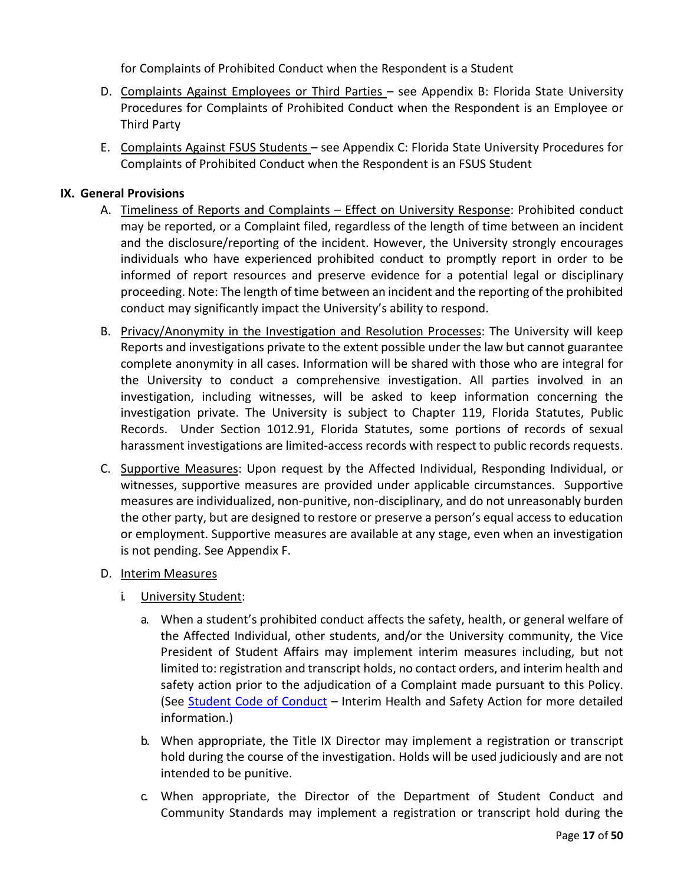for Complaints of Prohibited Conduct when the Respondent is a Student

- D. Complaints Against Employees or Third Parties see Appendix B: Florida State University Procedures for Complaints of Prohibited Conduct when the Respondent is an Employee or Third Party
- E. Complaints Against FSUS Students see Appendix C: Florida State University Procedures for Complaints of Prohibited Conduct when the Respondent is an FSUS Student

## **IX. General Provisions**

- A. Timeliness of Reports and Complaints Effect on University Response: Prohibited conduct may be reported, or a Complaint filed, regardless of the length of time between an incident and the disclosure/reporting of the incident. However, the University strongly encourages individuals who have experienced prohibited conduct to promptly report in order to be informed of report resources and preserve evidence for a potential legal or disciplinary proceeding. Note: The length of time between an incident and the reporting of the prohibited conduct may significantly impact the University's ability to respond.
- B. Privacy/Anonymity in the Investigation and Resolution Processes: The University will keep Reports and investigations private to the extent possible under the law but cannot guarantee complete anonymity in all cases. Information will be shared with those who are integral for the University to conduct a comprehensive investigation. All parties involved in an investigation, including witnesses, will be asked to keep information concerning the investigation private. The University is subject to Chapter 119, Florida Statutes, Public Records. Under Section 1012.91, Florida Statutes, some portions of records of sexual harassment investigations are limited-access records with respect to public records requests.
- <span id="page-16-0"></span>C. Supportive Measures: Upon request by the Affected Individual, Responding Individual, or witnesses, supportive measures are provided under applicable circumstances. Supportive measures are individualized, non-punitive, non-disciplinary, and do not unreasonably burden the other party, but are designed to restore or preserve a person's equal access to education or employment. Supportive measures are available at any stage, even when an investigation is not pending. See Appendix F.
- D. Interim Measures
	- i. University Student:
		- a. When a student's prohibited conduct affects the safety, health, or general welfare of the Affected Individual, other students, and/or the University community, the Vice President of Student Affairs may implement interim measures including, but not limited to: registration and transcript holds, no contact orders, and interim health and safety action prior to the adjudication of a Complaint made pursuant to this Policy. (See [Student Code of Conduct](https://sccs.fsu.edu/conduct-codes/student-conduct-codes) – Interim Health and Safety Action for more detailed information.)
		- b. When appropriate, the Title IX Director may implement a registration or transcript hold during the course of the investigation. Holds will be used judiciously and are not intended to be punitive.
		- c. When appropriate, the Director of the Department of Student Conduct and Community Standards may implement a registration or transcript hold during the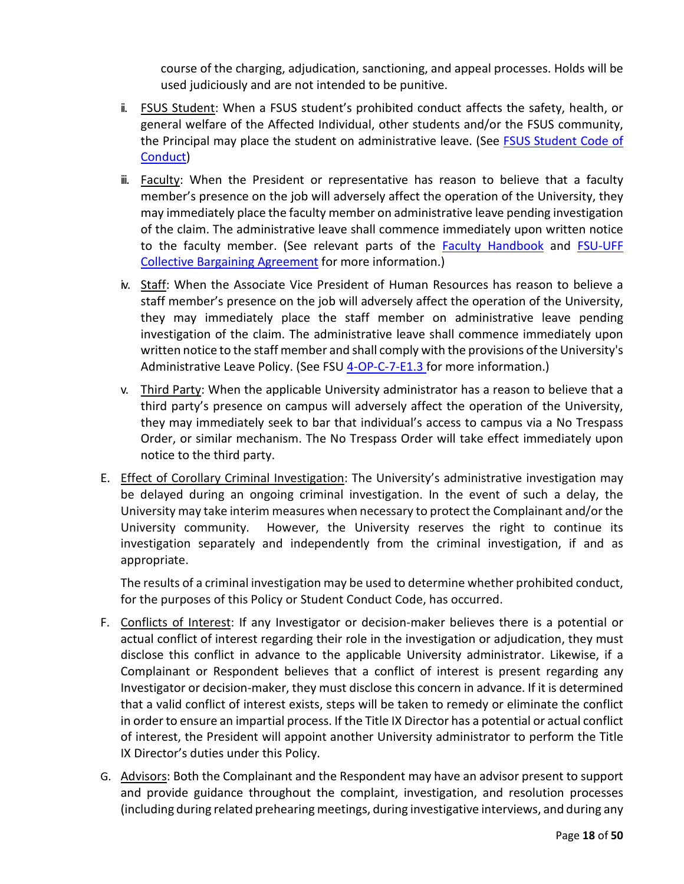course of the charging, adjudication, sanctioning, and appeal processes. Holds will be used judiciously and are not intended to be punitive.

- ii. FSUS Student: When a FSUS student's prohibited conduct affects the safety, health, or general welfare of the Affected Individual, other students and/or the FSUS community, the Principal may place the student on administrative leave. (See [FSUS Student Code of](https://www.fsus.school/domain/160)  [Conduct\)](https://www.fsus.school/domain/160)
- iii. Faculty: When the President or representative has reason to believe that a faculty member's presence on the job will adversely affect the operation of the University, they may immediately place the faculty member on administrative leave pending investigation of the claim. The administrative leave shall commence immediately upon written notice to the faculty member. (See relevant parts of the [Faculty Handbook](https://facultyhandbook.fsu.edu/) and [FSU-UFF](https://hr.fsu.edu/sections/employee-labor-relations/collective-bargaining)  [Collective Bargaining Agreement](https://hr.fsu.edu/sections/employee-labor-relations/collective-bargaining) for more information.)
- iv. Staff: When the Associate Vice President of Human Resources has reason to believe a staff member's presence on the job will adversely affect the operation of the University, they may immediately place the staff member on administrative leave pending investigation of the claim. The administrative leave shall commence immediately upon written notice to the staff member and shall comply with the provisions of the University's Administrative Leave Policy. (See FSU [4-OP-C-7-E1.3 f](http://policies.vpfa.fsu.edu/policies-and-procedures/faculty-staff/attendance-and-leave#E1.3)or more information.)
- v. Third Party: When the applicable University administrator has a reason to believe that a third party's presence on campus will adversely affect the operation of the University, they may immediately seek to bar that individual's access to campus via a No Trespass Order, or similar mechanism. The No Trespass Order will take effect immediately upon notice to the third party.
- E. Effect of Corollary Criminal Investigation: The University's administrative investigation may be delayed during an ongoing criminal investigation. In the event of such a delay, the University may take interim measures when necessary to protect the Complainant and/or the University community. However, the University reserves the right to continue its investigation separately and independently from the criminal investigation, if and as appropriate.

The results of a criminal investigation may be used to determine whether prohibited conduct, for the purposes of this Policy or Student Conduct Code, has occurred.

- F. Conflicts of Interest: If any Investigator or decision-maker believes there is a potential or actual conflict of interest regarding their role in the investigation or adjudication, they must disclose this conflict in advance to the applicable University administrator. Likewise, if a Complainant or Respondent believes that a conflict of interest is present regarding any Investigator or decision-maker, they must disclose this concern in advance. If it is determined that a valid conflict of interest exists, steps will be taken to remedy or eliminate the conflict in order to ensure an impartial process. If the Title IX Director has a potential or actual conflict of interest, the President will appoint another University administrator to perform the Title IX Director's duties under this Policy.
- G. Advisors: Both the Complainant and the Respondent may have an advisor present to support and provide guidance throughout the complaint, investigation, and resolution processes (including during related prehearing meetings, during investigative interviews, and during any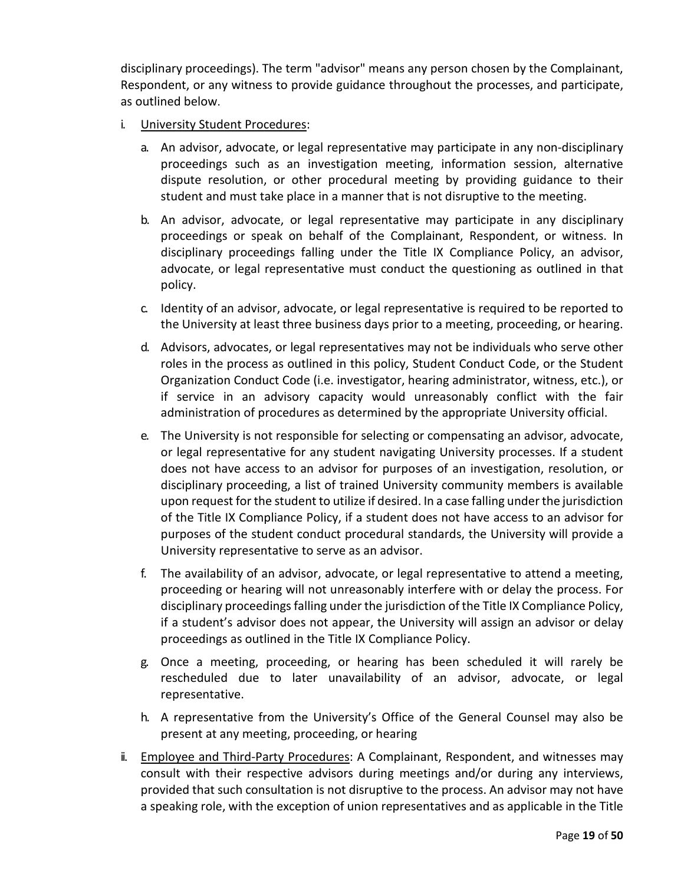disciplinary proceedings). The term "advisor" means any person chosen by the Complainant, Respondent, or any witness to provide guidance throughout the processes, and participate, as outlined below.

- i. University Student Procedures:
	- a. An advisor, advocate, or legal representative may participate in any non-disciplinary proceedings such as an investigation meeting, information session, alternative dispute resolution, or other procedural meeting by providing guidance to their student and must take place in a manner that is not disruptive to the meeting.
	- b. An advisor, advocate, or legal representative may participate in any disciplinary proceedings or speak on behalf of the Complainant, Respondent, or witness. In disciplinary proceedings falling under the Title IX Compliance Policy, an advisor, advocate, or legal representative must conduct the questioning as outlined in that policy.
	- c. Identity of an advisor, advocate, or legal representative is required to be reported to the University at least three business days prior to a meeting, proceeding, or hearing.
	- d. Advisors, advocates, or legal representatives may not be individuals who serve other roles in the process as outlined in this policy, Student Conduct Code, or the Student Organization Conduct Code (i.e. investigator, hearing administrator, witness, etc.), or if service in an advisory capacity would unreasonably conflict with the fair administration of procedures as determined by the appropriate University official.
	- e. The University is not responsible for selecting or compensating an advisor, advocate, or legal representative for any student navigating University processes. If a student does not have access to an advisor for purposes of an investigation, resolution, or disciplinary proceeding, a list of trained University community members is available upon request for the student to utilize if desired. In a case falling under the jurisdiction of the Title IX Compliance Policy, if a student does not have access to an advisor for purposes of the student conduct procedural standards, the University will provide a University representative to serve as an advisor.
	- f. The availability of an advisor, advocate, or legal representative to attend a meeting, proceeding or hearing will not unreasonably interfere with or delay the process. For disciplinary proceedings falling under the jurisdiction of the Title IX Compliance Policy, if a student's advisor does not appear, the University will assign an advisor or delay proceedings as outlined in the Title IX Compliance Policy.
	- g. Once a meeting, proceeding, or hearing has been scheduled it will rarely be rescheduled due to later unavailability of an advisor, advocate, or legal representative.
	- h. A representative from the University's Office of the General Counsel may also be present at any meeting, proceeding, or hearing
- ii. Employee and Third-Party Procedures: A Complainant, Respondent, and witnesses may consult with their respective advisors during meetings and/or during any interviews, provided that such consultation is not disruptive to the process. An advisor may not have a speaking role, with the exception of union representatives and as applicable in the Title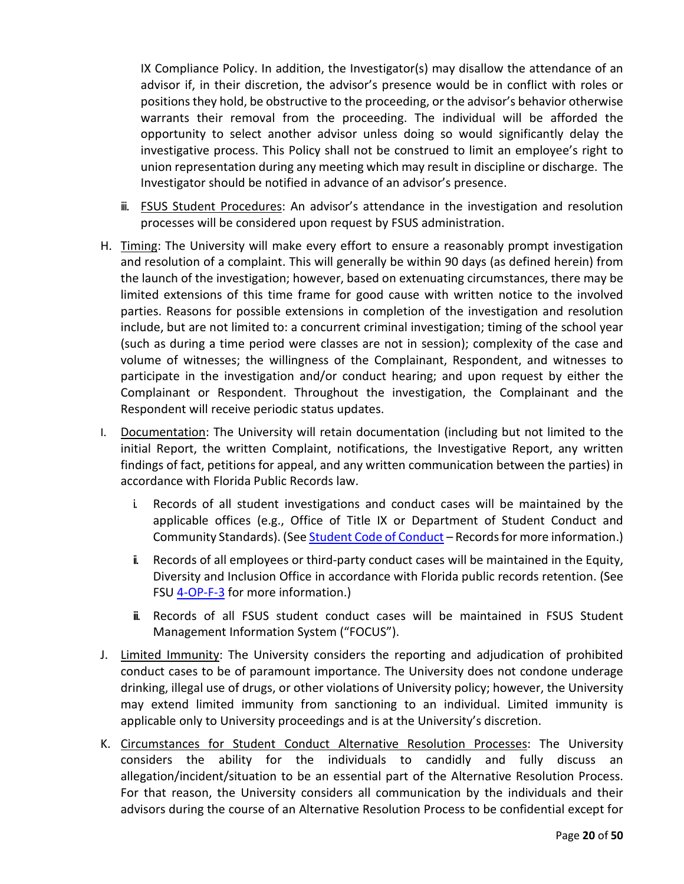IX Compliance Policy. In addition, the Investigator(s) may disallow the attendance of an advisor if, in their discretion, the advisor's presence would be in conflict with roles or positions they hold, be obstructive to the proceeding, or the advisor's behavior otherwise warrants their removal from the proceeding. The individual will be afforded the opportunity to select another advisor unless doing so would significantly delay the investigative process. This Policy shall not be construed to limit an employee's right to union representation during any meeting which may result in discipline or discharge. The Investigator should be notified in advance of an advisor's presence.

- iii. **FSUS Student Procedures:** An advisor's attendance in the investigation and resolution processes will be considered upon request by FSUS administration.
- H. Timing: The University will make every effort to ensure a reasonably prompt investigation and resolution of a complaint. This will generally be within 90 days (as defined herein) from the launch of the investigation; however, based on extenuating circumstances, there may be limited extensions of this time frame for good cause with written notice to the involved parties. Reasons for possible extensions in completion of the investigation and resolution include, but are not limited to: a concurrent criminal investigation; timing of the school year (such as during a time period were classes are not in session); complexity of the case and volume of witnesses; the willingness of the Complainant, Respondent, and witnesses to participate in the investigation and/or conduct hearing; and upon request by either the Complainant or Respondent. Throughout the investigation, the Complainant and the Respondent will receive periodic status updates.
- I. Documentation: The University will retain documentation (including but not limited to the initial Report, the written Complaint, notifications, the Investigative Report, any written findings of fact, petitions for appeal, and any written communication between the parties) in accordance with Florida Public Records law.
	- i. Records of all student investigations and conduct cases will be maintained by the applicable offices (e.g., Office of Title IX or Department of Student Conduct and Community Standards). (Se[e Student Code of Conduct](https://sccs.fsu.edu/conduct-codes/student-conduct-codes) - Records for more information.)
	- ii. Records of all employees or third-party conduct cases will be maintained in the Equity, Diversity and Inclusion Office in accordance with Florida public records retention. (See FSU [4-OP-F-3](http://policies.vpfa.fsu.edu/policies-and-procedures/records-information/records-management) for more information.)
	- iii. Records of all FSUS student conduct cases will be maintained in FSUS Student Management Information System ("FOCUS").
- J. Limited Immunity: The University considers the reporting and adjudication of prohibited conduct cases to be of paramount importance. The University does not condone underage drinking, illegal use of drugs, or other violations of University policy; however, the University may extend limited immunity from sanctioning to an individual. Limited immunity is applicable only to University proceedings and is at the University's discretion.
- K. Circumstances for Student Conduct Alternative Resolution Processes: The University considers the ability for the individuals to candidly and fully discuss an allegation/incident/situation to be an essential part of the Alternative Resolution Process. For that reason, the University considers all communication by the individuals and their advisors during the course of an Alternative Resolution Process to be confidential except for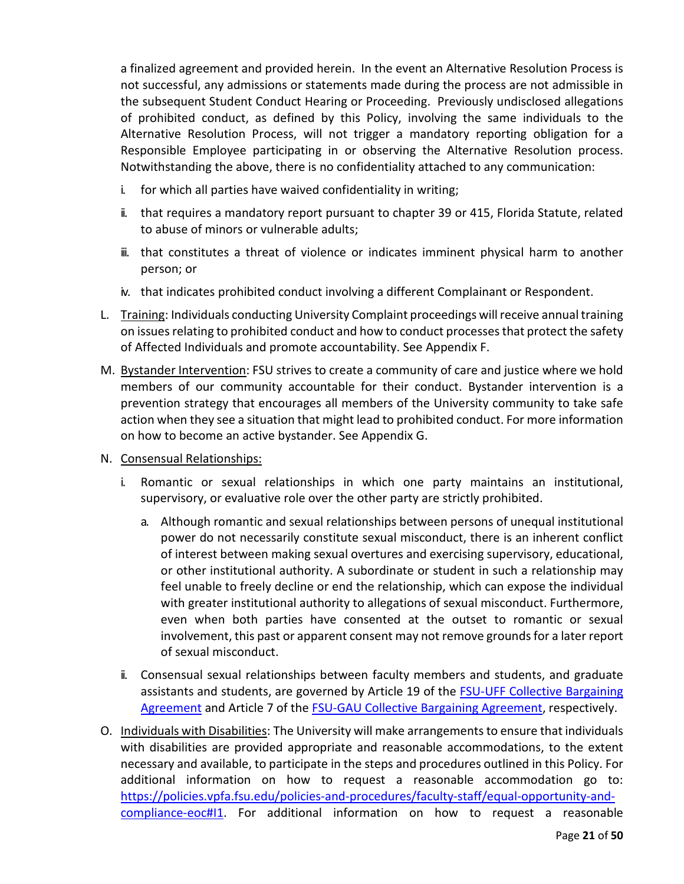a finalized agreement and provided herein. In the event an Alternative Resolution Process is not successful, any admissions or statements made during the process are not admissible in the subsequent Student Conduct Hearing or Proceeding. Previously undisclosed allegations of prohibited conduct, as defined by this Policy, involving the same individuals to the Alternative Resolution Process, will not trigger a mandatory reporting obligation for a Responsible Employee participating in or observing the Alternative Resolution process. Notwithstanding the above, there is no confidentiality attached to any communication:

- i. for which all parties have waived confidentiality in writing;
- ii. that requires a mandatory report pursuant to chapter 39 or 415, Florida Statute, related to abuse of minors or vulnerable adults;
- iii. that constitutes a threat of violence or indicates imminent physical harm to another person; or
- iv. that indicates prohibited conduct involving a different Complainant or Respondent.
- L. Training: Individuals conducting University Complaint proceedings will receive annual training on issues relating to prohibited conduct and how to conduct processes that protect the safety of Affected Individuals and promote accountability. See Appendix F.
- M. Bystander Intervention: FSU strives to create a community of care and justice where we hold members of our community accountable for their conduct. Bystander intervention is a prevention strategy that encourages all members of the University community to take safe action when they see a situation that might lead to prohibited conduct. For more information on how to become an active bystander. See Appendix G.
- N. Consensual Relationships:
	- i. Romantic or sexual relationships in which one party maintains an institutional, supervisory, or evaluative role over the other party are strictly prohibited.
		- a. Although romantic and sexual relationships between persons of unequal institutional power do not necessarily constitute sexual misconduct, there is an inherent conflict of interest between making sexual overtures and exercising supervisory, educational, or other institutional authority. A subordinate or student in such a relationship may feel unable to freely decline or end the relationship, which can expose the individual with greater institutional authority to allegations of sexual misconduct. Furthermore, even when both parties have consented at the outset to romantic or sexual involvement, this past or apparent consent may not remove grounds for a later report of sexual misconduct.
	- ii. Consensual sexual relationships between faculty members and students, and graduate assistants and students, are governed by Article 19 of the [FSU-UFF Collective Bargaining](https://hr.fsu.edu/sections/employee-labor-relations/collective-bargaining)  [Agreement](https://hr.fsu.edu/sections/employee-labor-relations/collective-bargaining) and Article 7 of the [FSU-GAU Collective Bargaining Agreement,](https://hr.fsu.edu/sections/employee-labor-relations/collective-bargaining) respectively.
- O. Individuals with Disabilities: The University will make arrangements to ensure that individuals with disabilities are provided appropriate and reasonable accommodations, to the extent necessary and available, to participate in the steps and procedures outlined in this Policy. For additional information on how to request a reasonable accommodation go to: [https://policies.vpfa.fsu.edu/policies-and-procedures/faculty-staff/equal-opportunity-and](https://policies.vpfa.fsu.edu/policies-and-procedures/faculty-staff/equal-opportunity-and-compliance-eoc#I1)[compliance-eoc#I1.](https://policies.vpfa.fsu.edu/policies-and-procedures/faculty-staff/equal-opportunity-and-compliance-eoc#I1) For additional information on how to request a reasonable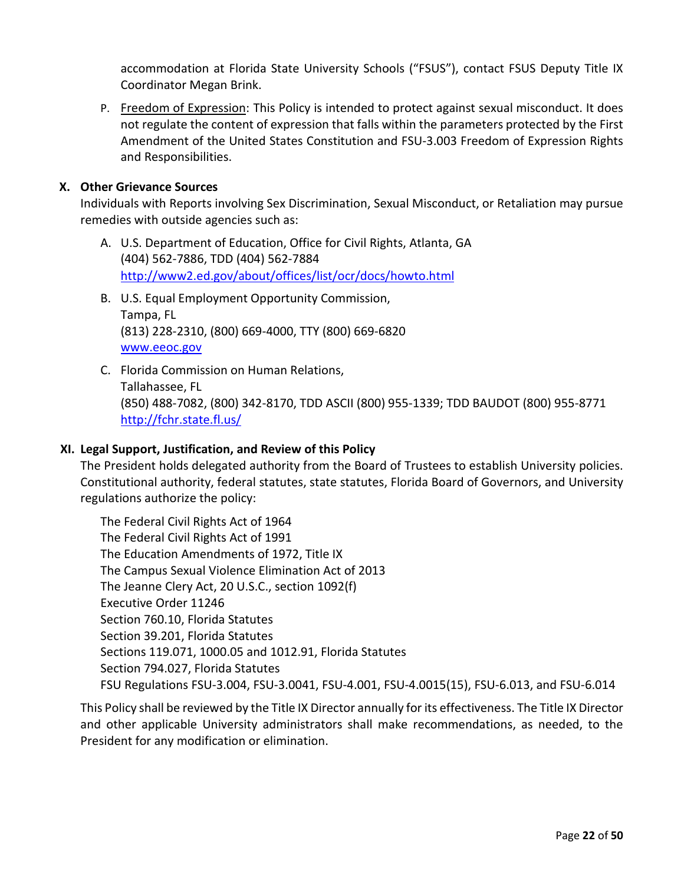accommodation at Florida State University Schools ("FSUS"), contact FSUS Deputy Title IX Coordinator Megan Brink.

P. Freedom of Expression: This Policy is intended to protect against sexual misconduct. It does not regulate the content of expression that falls within the parameters protected by the First Amendment of the United States Constitution and FSU-3.003 Freedom of Expression Rights and Responsibilities.

### **X. Other Grievance Sources**

Individuals with Reports involving Sex Discrimination, Sexual Misconduct, or Retaliation may pursue remedies with outside agencies such as:

- A. U.S. Department of Education, Office for Civil Rights, Atlanta, GA (404) 562-7886, TDD (404) 562-7884 <http://www2.ed.gov/about/offices/list/ocr/docs/howto.html>
- B. U.S. Equal Employment Opportunity Commission, Tampa, FL (813) 228-2310, (800) 669-4000, TTY (800) 669-6820 [www.eeoc.gov](http://www.eeoc.gov/)
- C. Florida Commission on Human Relations, Tallahassee, FL (850) 488-7082, (800) 342-8170, TDD ASCII (800) 955-1339; TDD BAUDOT (800) 955-8771 <http://fchr.state.fl.us/>

### **XI. Legal Support, Justification, and Review of this Policy**

The President holds delegated authority from the Board of Trustees to establish University policies. Constitutional authority, federal statutes, state statutes, Florida Board of Governors, and University regulations authorize the policy:

The Federal Civil Rights Act of 1964 The Federal Civil Rights Act of 1991 The Education Amendments of 1972, Title IX The Campus Sexual Violence Elimination Act of 2013 The Jeanne Clery Act, 20 U.S.C., section 1092(f) Executive Order 11246 Section 760.10, Florida Statutes Section 39.201, Florida Statutes Sections 119.071, 1000.05 and 1012.91, Florida Statutes Section 794.027, Florida Statutes FSU Regulations FSU-3.004, FSU-3.0041, FSU-4.001, FSU-4.0015(15), FSU-6.013, and FSU-6.014

This Policy shall be reviewed by the Title IX Director annually for its effectiveness. The Title IX Director and other applicable University administrators shall make recommendations, as needed, to the President for any modification or elimination.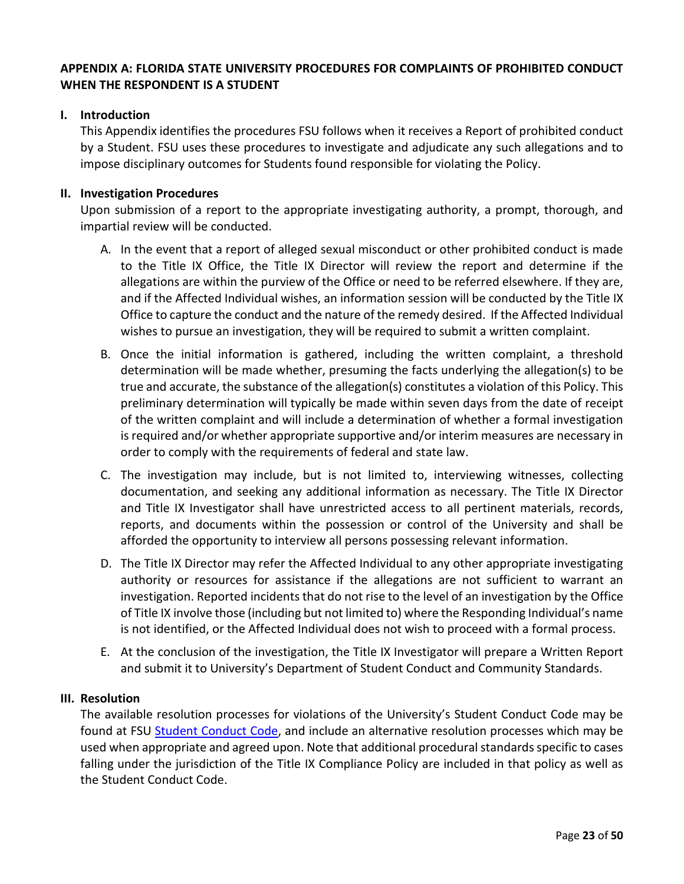# **APPENDIX A: FLORIDA STATE UNIVERSITY PROCEDURES FOR COMPLAINTS OF PROHIBITED CONDUCT WHEN THE RESPONDENT IS A STUDENT**

### **I. Introduction**

This Appendix identifies the procedures FSU follows when it receives a Report of prohibited conduct by a Student. FSU uses these procedures to investigate and adjudicate any such allegations and to impose disciplinary outcomes for Students found responsible for violating the Policy.

### **II. Investigation Procedures**

Upon submission of a report to the appropriate investigating authority, a prompt, thorough, and impartial review will be conducted.

- A. In the event that a report of alleged sexual misconduct or other prohibited conduct is made to the Title IX Office, the Title IX Director will review the report and determine if the allegations are within the purview of the Office or need to be referred elsewhere. If they are, and if the Affected Individual wishes, an information session will be conducted by the Title IX Office to capture the conduct and the nature of the remedy desired. If the Affected Individual wishes to pursue an investigation, they will be required to submit a written complaint.
- B. Once the initial information is gathered, including the written complaint, a threshold determination will be made whether, presuming the facts underlying the allegation(s) to be true and accurate, the substance of the allegation(s) constitutes a violation of this Policy. This preliminary determination will typically be made within seven days from the date of receipt of the written complaint and will include a determination of whether a formal investigation is required and/or whether appropriate supportive and/or interim measures are necessary in order to comply with the requirements of federal and state law.
- C. The investigation may include, but is not limited to, interviewing witnesses, collecting documentation, and seeking any additional information as necessary. The Title IX Director and Title IX Investigator shall have unrestricted access to all pertinent materials, records, reports, and documents within the possession or control of the University and shall be afforded the opportunity to interview all persons possessing relevant information.
- D. The Title IX Director may refer the Affected Individual to any other appropriate investigating authority or resources for assistance if the allegations are not sufficient to warrant an investigation. Reported incidents that do not rise to the level of an investigation by the Office of Title IX involve those (including but not limited to) where the Responding Individual's name is not identified, or the Affected Individual does not wish to proceed with a formal process.
- E. At the conclusion of the investigation, the Title IX Investigator will prepare a Written Report and submit it to University's Department of Student Conduct and Community Standards.

### **III. Resolution**

The available resolution processes for violations of the University's Student Conduct Code may be found at FSU [Student Conduct Code,](https://sccs.fsu.edu/conduct-codes/student-conduct-codes) and include an alternative resolution processes which may be used when appropriate and agreed upon. Note that additional procedural standards specific to cases falling under the jurisdiction of the Title IX Compliance Policy are included in that policy as well as the Student Conduct Code.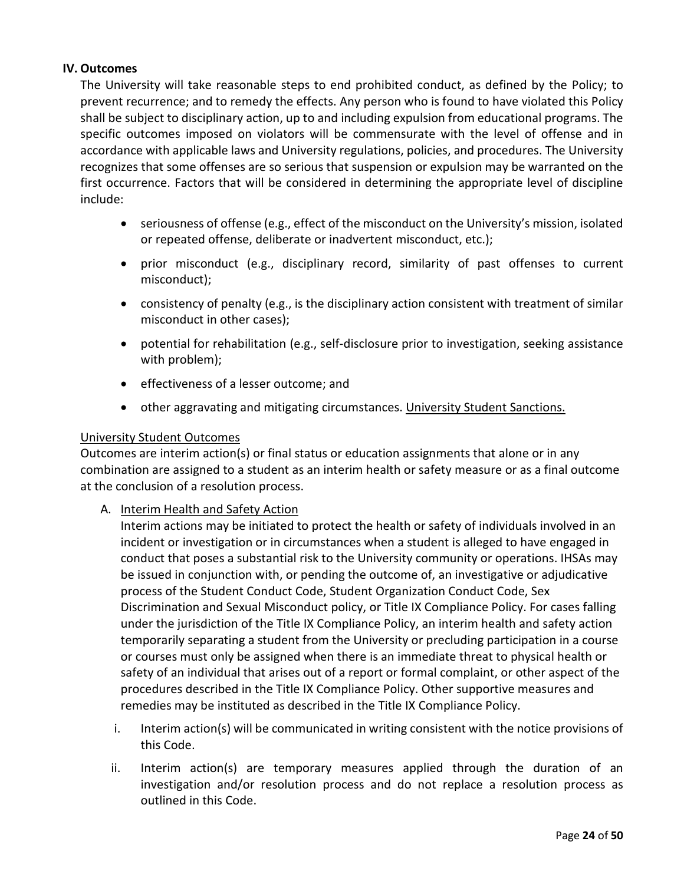### **IV. Outcomes**

The University will take reasonable steps to end prohibited conduct, as defined by the Policy; to prevent recurrence; and to remedy the effects. Any person who is found to have violated this Policy shall be subject to disciplinary action, up to and including expulsion from educational programs. The specific outcomes imposed on violators will be commensurate with the level of offense and in accordance with applicable laws and University regulations, policies, and procedures. The University recognizes that some offenses are so serious that suspension or expulsion may be warranted on the first occurrence. Factors that will be considered in determining the appropriate level of discipline include:

- seriousness of offense (e.g., effect of the misconduct on the University's mission, isolated or repeated offense, deliberate or inadvertent misconduct, etc.);
- prior misconduct (e.g., disciplinary record, similarity of past offenses to current misconduct);
- consistency of penalty (e.g., is the disciplinary action consistent with treatment of similar misconduct in other cases);
- potential for rehabilitation (e.g., self-disclosure prior to investigation, seeking assistance with problem);
- effectiveness of a lesser outcome; and
- other aggravating and mitigating circumstances. University Student Sanctions.

### University Student Outcomes

Outcomes are interim action(s) or final status or education assignments that alone or in any combination are assigned to a student as an interim health or safety measure or as a final outcome at the conclusion of a resolution process.

A. Interim Health and Safety Action

Interim actions may be initiated to protect the health or safety of individuals involved in an incident or investigation or in circumstances when a student is alleged to have engaged in conduct that poses a substantial risk to the University community or operations. IHSAs may be issued in conjunction with, or pending the outcome of, an investigative or adjudicative process of the Student Conduct Code, Student Organization Conduct Code, Sex Discrimination and Sexual Misconduct policy, or Title IX Compliance Policy. For cases falling under the jurisdiction of the Title IX Compliance Policy, an interim health and safety action temporarily separating a student from the University or precluding participation in a course or courses must only be assigned when there is an immediate threat to physical health or safety of an individual that arises out of a report or formal complaint, or other aspect of the procedures described in the Title IX Compliance Policy. Other supportive measures and remedies may be instituted as described in the Title IX Compliance Policy.

- i. Interim action(s) will be communicated in writing consistent with the notice provisions of this Code.
- ii. Interim action(s) are temporary measures applied through the duration of an investigation and/or resolution process and do not replace a resolution process as outlined in this Code.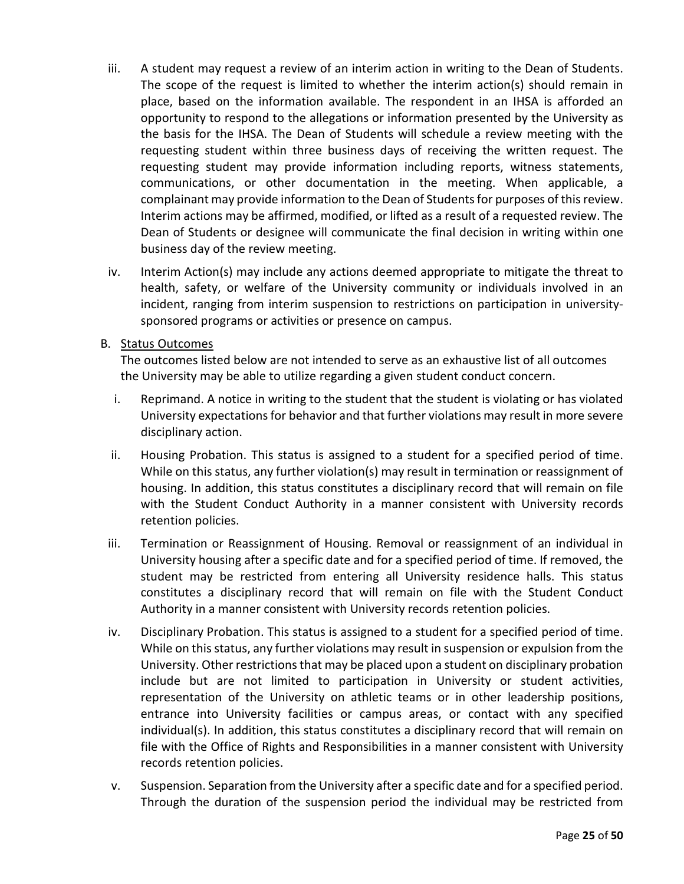- iii. A student may request a review of an interim action in writing to the Dean of Students. The scope of the request is limited to whether the interim action(s) should remain in place, based on the information available. The respondent in an IHSA is afforded an opportunity to respond to the allegations or information presented by the University as the basis for the IHSA. The Dean of Students will schedule a review meeting with the requesting student within three business days of receiving the written request. The requesting student may provide information including reports, witness statements, communications, or other documentation in the meeting. When applicable, a complainant may provide information to the Dean of Students for purposes of this review. Interim actions may be affirmed, modified, or lifted as a result of a requested review. The Dean of Students or designee will communicate the final decision in writing within one business day of the review meeting.
- iv. Interim Action(s) may include any actions deemed appropriate to mitigate the threat to health, safety, or welfare of the University community or individuals involved in an incident, ranging from interim suspension to restrictions on participation in universitysponsored programs or activities or presence on campus.

### B. Status Outcomes

The outcomes listed below are not intended to serve as an exhaustive list of all outcomes the University may be able to utilize regarding a given student conduct concern.

- i. Reprimand. A notice in writing to the student that the student is violating or has violated University expectations for behavior and that further violations may result in more severe disciplinary action.
- ii. Housing Probation. This status is assigned to a student for a specified period of time. While on this status, any further violation(s) may result in termination or reassignment of housing. In addition, this status constitutes a disciplinary record that will remain on file with the Student Conduct Authority in a manner consistent with University records retention policies.
- iii. Termination or Reassignment of Housing. Removal or reassignment of an individual in University housing after a specific date and for a specified period of time. If removed, the student may be restricted from entering all University residence halls. This status constitutes a disciplinary record that will remain on file with the Student Conduct Authority in a manner consistent with University records retention policies.
- iv. Disciplinary Probation. This status is assigned to a student for a specified period of time. While on this status, any further violations may result in suspension or expulsion from the University. Other restrictions that may be placed upon a student on disciplinary probation include but are not limited to participation in University or student activities, representation of the University on athletic teams or in other leadership positions, entrance into University facilities or campus areas, or contact with any specified individual(s). In addition, this status constitutes a disciplinary record that will remain on file with the Office of Rights and Responsibilities in a manner consistent with University records retention policies.
- v. Suspension. Separation from the University after a specific date and for a specified period. Through the duration of the suspension period the individual may be restricted from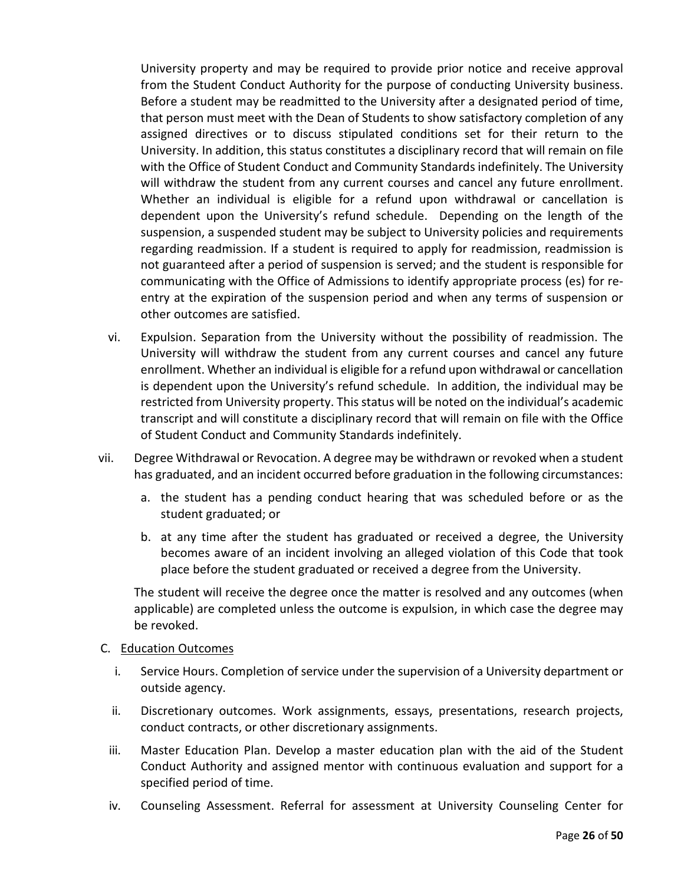University property and may be required to provide prior notice and receive approval from the Student Conduct Authority for the purpose of conducting University business. Before a student may be readmitted to the University after a designated period of time, that person must meet with the Dean of Students to show satisfactory completion of any assigned directives or to discuss stipulated conditions set for their return to the University. In addition, this status constitutes a disciplinary record that will remain on file with the Office of Student Conduct and Community Standards indefinitely. The University will withdraw the student from any current courses and cancel any future enrollment. Whether an individual is eligible for a refund upon withdrawal or cancellation is dependent upon the University's refund schedule. Depending on the length of the suspension, a suspended student may be subject to University policies and requirements regarding readmission. If a student is required to apply for readmission, readmission is not guaranteed after a period of suspension is served; and the student is responsible for communicating with the Office of Admissions to identify appropriate process (es) for reentry at the expiration of the suspension period and when any terms of suspension or other outcomes are satisfied.

- vi. Expulsion. Separation from the University without the possibility of readmission. The University will withdraw the student from any current courses and cancel any future enrollment. Whether an individual is eligible for a refund upon withdrawal or cancellation is dependent upon the University's refund schedule. In addition, the individual may be restricted from University property. This status will be noted on the individual's academic transcript and will constitute a disciplinary record that will remain on file with the Office of Student Conduct and Community Standards indefinitely.
- vii. Degree Withdrawal or Revocation. A degree may be withdrawn or revoked when a student has graduated, and an incident occurred before graduation in the following circumstances:
	- a. the student has a pending conduct hearing that was scheduled before or as the student graduated; or
	- b. at any time after the student has graduated or received a degree, the University becomes aware of an incident involving an alleged violation of this Code that took place before the student graduated or received a degree from the University.

The student will receive the degree once the matter is resolved and any outcomes (when applicable) are completed unless the outcome is expulsion, in which case the degree may be revoked.

#### C. Education Outcomes

- i. Service Hours. Completion of service under the supervision of a University department or outside agency.
- ii. Discretionary outcomes. Work assignments, essays, presentations, research projects, conduct contracts, or other discretionary assignments.
- iii. Master Education Plan. Develop a master education plan with the aid of the Student Conduct Authority and assigned mentor with continuous evaluation and support for a specified period of time.
- iv. Counseling Assessment. Referral for assessment at University Counseling Center for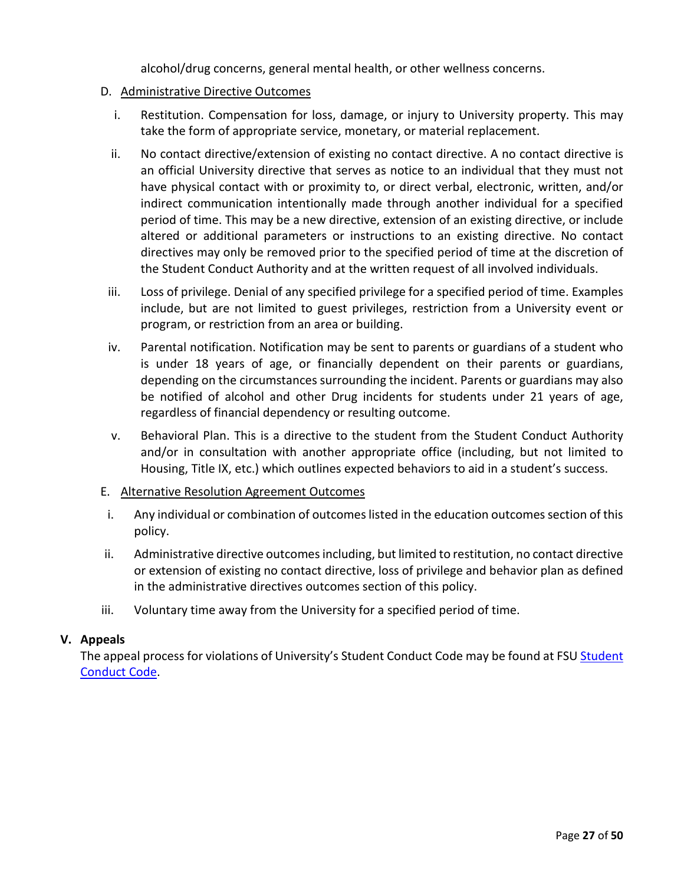alcohol/drug concerns, general mental health, or other wellness concerns.

### D. Administrative Directive Outcomes

- i. Restitution. Compensation for loss, damage, or injury to University property. This may take the form of appropriate service, monetary, or material replacement.
- ii. No contact directive/extension of existing no contact directive. A no contact directive is an official University directive that serves as notice to an individual that they must not have physical contact with or proximity to, or direct verbal, electronic, written, and/or indirect communication intentionally made through another individual for a specified period of time. This may be a new directive, extension of an existing directive, or include altered or additional parameters or instructions to an existing directive. No contact directives may only be removed prior to the specified period of time at the discretion of the Student Conduct Authority and at the written request of all involved individuals.
- iii. Loss of privilege. Denial of any specified privilege for a specified period of time. Examples include, but are not limited to guest privileges, restriction from a University event or program, or restriction from an area or building.
- iv. Parental notification. Notification may be sent to parents or guardians of a student who is under 18 years of age, or financially dependent on their parents or guardians, depending on the circumstances surrounding the incident. Parents or guardians may also be notified of alcohol and other Drug incidents for students under 21 years of age, regardless of financial dependency or resulting outcome.
- v. Behavioral Plan. This is a directive to the student from the Student Conduct Authority and/or in consultation with another appropriate office (including, but not limited to Housing, Title IX, etc.) which outlines expected behaviors to aid in a student's success.
- E. Alternative Resolution Agreement Outcomes
- i. Any individual or combination of outcomes listed in the education outcomes section of this policy.
- ii. Administrative directive outcomes including, but limited to restitution, no contact directive or extension of existing no contact directive, loss of privilege and behavior plan as defined in the administrative directives outcomes section of this policy.
- iii. Voluntary time away from the University for a specified period of time.

### **V. Appeals**

The appeal process for violations of University's [Student](https://sccs.fsu.edu/conduct-codes/student-conduct-codes) Conduct Code may be found at FSU Student [Conduct Code.](https://sccs.fsu.edu/conduct-codes/student-conduct-codes)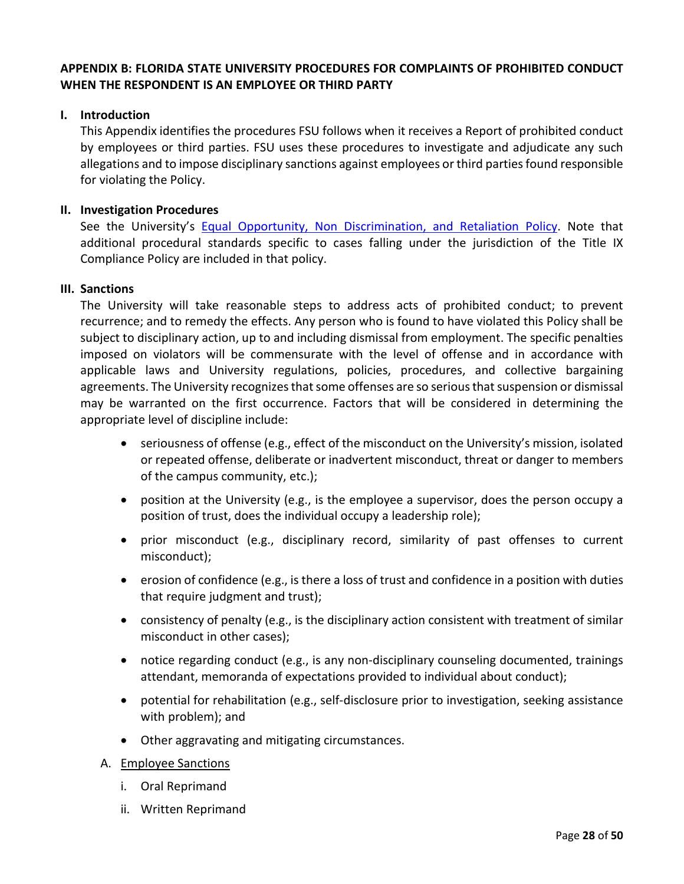# **APPENDIX B: FLORIDA STATE UNIVERSITY PROCEDURES FOR COMPLAINTS OF PROHIBITED CONDUCT WHEN THE RESPONDENT IS AN EMPLOYEE OR THIRD PARTY**

#### **I. Introduction**

This Appendix identifies the procedures FSU follows when it receives a Report of prohibited conduct by employees or third parties. FSU uses these procedures to investigate and adjudicate any such allegations and to impose disciplinary sanctions against employees or third parties found responsible for violating the Policy.

#### **II. Investigation Procedures**

See the University's [Equal Opportunity, Non Discrimination, and Retaliation Policy.](https://policies.vpfa.fsu.edu/policies-and-procedures/faculty-staff/equal-opportunity-and-compliance-eoc#I3) Note that additional procedural standards specific to cases falling under the jurisdiction of the Title IX Compliance Policy are included in that policy.

#### **III. Sanctions**

The University will take reasonable steps to address acts of prohibited conduct; to prevent recurrence; and to remedy the effects. Any person who is found to have violated this Policy shall be subject to disciplinary action, up to and including dismissal from employment. The specific penalties imposed on violators will be commensurate with the level of offense and in accordance with applicable laws and University regulations, policies, procedures, and collective bargaining agreements. The University recognizes that some offenses are so serious that suspension or dismissal may be warranted on the first occurrence. Factors that will be considered in determining the appropriate level of discipline include:

- seriousness of offense (e.g., effect of the misconduct on the University's mission, isolated or repeated offense, deliberate or inadvertent misconduct, threat or danger to members of the campus community, etc.);
- position at the University (e.g., is the employee a supervisor, does the person occupy a position of trust, does the individual occupy a leadership role);
- prior misconduct (e.g., disciplinary record, similarity of past offenses to current misconduct);
- erosion of confidence (e.g., is there a loss of trust and confidence in a position with duties that require judgment and trust);
- consistency of penalty (e.g., is the disciplinary action consistent with treatment of similar misconduct in other cases);
- notice regarding conduct (e.g., is any non-disciplinary counseling documented, trainings attendant, memoranda of expectations provided to individual about conduct);
- potential for rehabilitation (e.g., self-disclosure prior to investigation, seeking assistance with problem); and
- Other aggravating and mitigating circumstances.
- A. Employee Sanctions
	- i. Oral Reprimand
	- ii. Written Reprimand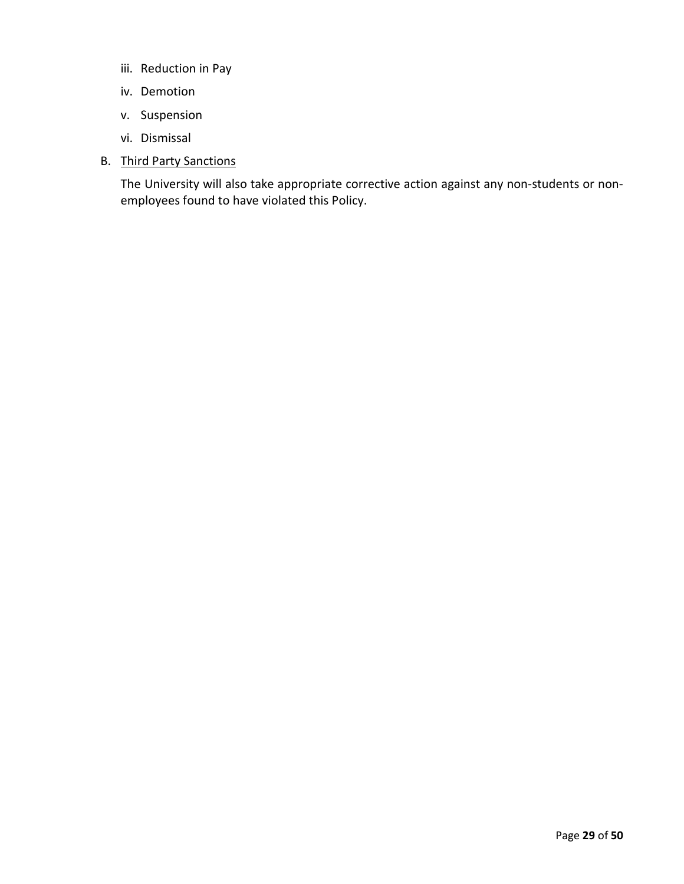- iii. Reduction in Pay
- iv. Demotion
- v. Suspension
- vi. Dismissal
- B. Third Party Sanctions

The University will also take appropriate corrective action against any non-students or nonemployees found to have violated this Policy.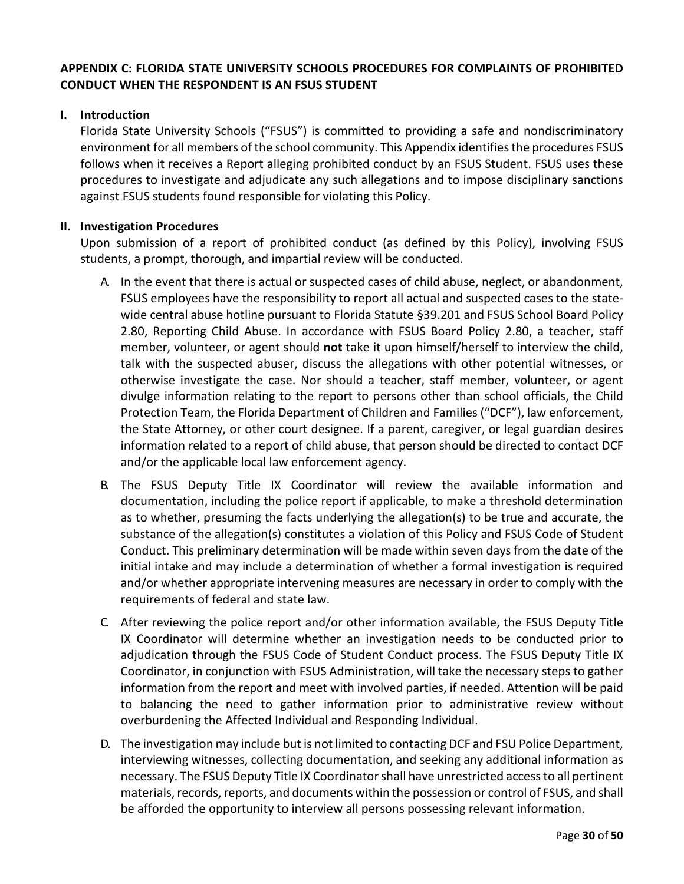# **APPENDIX C: FLORIDA STATE UNIVERSITY SCHOOLS PROCEDURES FOR COMPLAINTS OF PROHIBITED CONDUCT WHEN THE RESPONDENT IS AN FSUS STUDENT**

### **I. Introduction**

Florida State University Schools ("FSUS") is committed to providing a safe and nondiscriminatory environment for all members of the school community. This Appendix identifies the procedures FSUS follows when it receives a Report alleging prohibited conduct by an FSUS Student. FSUS uses these procedures to investigate and adjudicate any such allegations and to impose disciplinary sanctions against FSUS students found responsible for violating this Policy.

### **II. Investigation Procedures**

Upon submission of a report of prohibited conduct (as defined by this Policy), involving FSUS students, a prompt, thorough, and impartial review will be conducted.

- A. In the event that there is actual or suspected cases of child abuse, neglect, or abandonment, FSUS employees have the responsibility to report all actual and suspected cases to the statewide central abuse hotline pursuant to Florida Statute §39.201 and FSUS School Board Policy 2.80, Reporting Child Abuse. In accordance with FSUS Board Policy 2.80, a teacher, staff member, volunteer, or agent should **not** take it upon himself/herself to interview the child, talk with the suspected abuser, discuss the allegations with other potential witnesses, or otherwise investigate the case. Nor should a teacher, staff member, volunteer, or agent divulge information relating to the report to persons other than school officials, the Child Protection Team, the Florida Department of Children and Families ("DCF"), law enforcement, the State Attorney, or other court designee. If a parent, caregiver, or legal guardian desires information related to a report of child abuse, that person should be directed to contact DCF and/or the applicable local law enforcement agency.
- B. The FSUS Deputy Title IX Coordinator will review the available information and documentation, including the police report if applicable, to make a threshold determination as to whether, presuming the facts underlying the allegation(s) to be true and accurate, the substance of the allegation(s) constitutes a violation of this Policy and FSUS Code of Student Conduct. This preliminary determination will be made within seven days from the date of the initial intake and may include a determination of whether a formal investigation is required and/or whether appropriate intervening measures are necessary in order to comply with the requirements of federal and state law.
- C. After reviewing the police report and/or other information available, the FSUS Deputy Title IX Coordinator will determine whether an investigation needs to be conducted prior to adjudication through the FSUS Code of Student Conduct process. The FSUS Deputy Title IX Coordinator, in conjunction with FSUS Administration, will take the necessary steps to gather information from the report and meet with involved parties, if needed. Attention will be paid to balancing the need to gather information prior to administrative review without overburdening the Affected Individual and Responding Individual.
- D. The investigation may include but is not limited to contacting DCF and FSU Police Department, interviewing witnesses, collecting documentation, and seeking any additional information as necessary. The FSUS Deputy Title IX Coordinator shall have unrestricted access to all pertinent materials, records, reports, and documents within the possession or control of FSUS, and shall be afforded the opportunity to interview all persons possessing relevant information.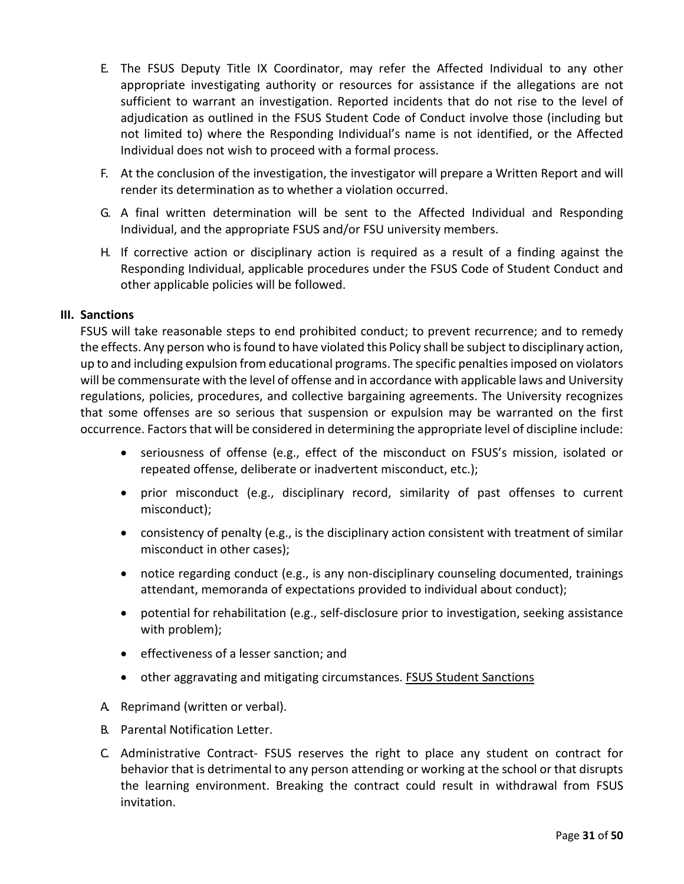- E. The FSUS Deputy Title IX Coordinator, may refer the Affected Individual to any other appropriate investigating authority or resources for assistance if the allegations are not sufficient to warrant an investigation. Reported incidents that do not rise to the level of adjudication as outlined in the FSUS Student Code of Conduct involve those (including but not limited to) where the Responding Individual's name is not identified, or the Affected Individual does not wish to proceed with a formal process.
- F. At the conclusion of the investigation, the investigator will prepare a Written Report and will render its determination as to whether a violation occurred.
- G. A final written determination will be sent to the Affected Individual and Responding Individual, and the appropriate FSUS and/or FSU university members.
- H. If corrective action or disciplinary action is required as a result of a finding against the Responding Individual, applicable procedures under the FSUS Code of Student Conduct and other applicable policies will be followed.

#### **III. Sanctions**

FSUS will take reasonable steps to end prohibited conduct; to prevent recurrence; and to remedy the effects. Any person who is found to have violated this Policy shall be subject to disciplinary action, up to and including expulsion from educational programs. The specific penalties imposed on violators will be commensurate with the level of offense and in accordance with applicable laws and University regulations, policies, procedures, and collective bargaining agreements. The University recognizes that some offenses are so serious that suspension or expulsion may be warranted on the first occurrence. Factors that will be considered in determining the appropriate level of discipline include:

- seriousness of offense (e.g., effect of the misconduct on FSUS's mission, isolated or repeated offense, deliberate or inadvertent misconduct, etc.);
- prior misconduct (e.g., disciplinary record, similarity of past offenses to current misconduct);
- consistency of penalty (e.g., is the disciplinary action consistent with treatment of similar misconduct in other cases);
- notice regarding conduct (e.g., is any non-disciplinary counseling documented, trainings attendant, memoranda of expectations provided to individual about conduct);
- potential for rehabilitation (e.g., self-disclosure prior to investigation, seeking assistance with problem);
- effectiveness of a lesser sanction; and
- other aggravating and mitigating circumstances. FSUS Student Sanctions
- A. Reprimand (written or verbal).
- B. Parental Notification Letter.
- C. Administrative Contract- FSUS reserves the right to place any student on contract for behavior that is detrimental to any person attending or working at the school or that disrupts the learning environment. Breaking the contract could result in withdrawal from FSUS invitation.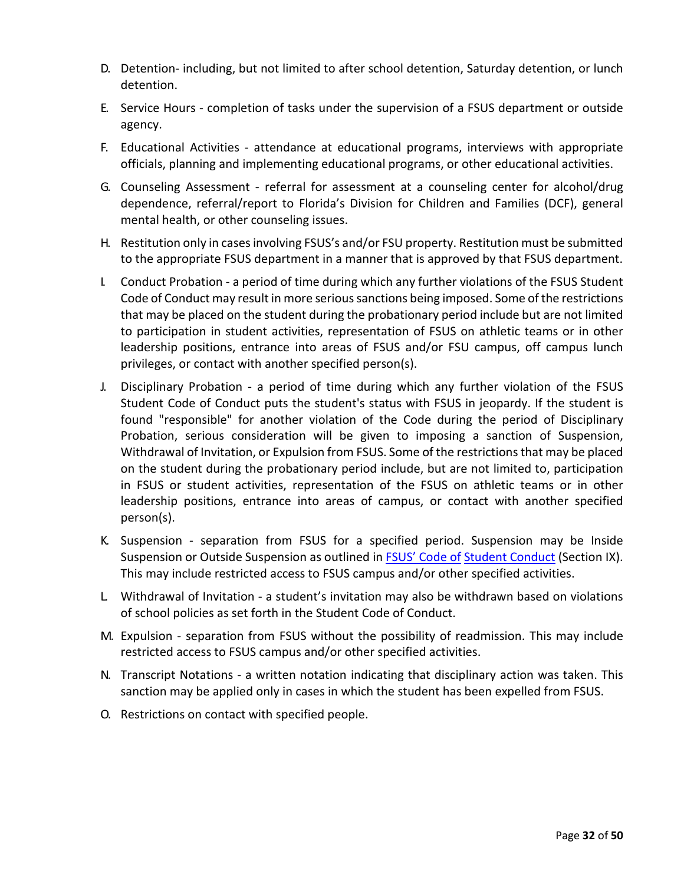- D. Detention- including, but not limited to after school detention, Saturday detention, or lunch detention.
- E. Service Hours completion of tasks under the supervision of a FSUS department or outside agency.
- F. Educational Activities attendance at educational programs, interviews with appropriate officials, planning and implementing educational programs, or other educational activities.
- G. Counseling Assessment referral for assessment at a counseling center for alcohol/drug dependence, referral/report to Florida's Division for Children and Families (DCF), general mental health, or other counseling issues.
- H. Restitution only in cases involving FSUS's and/or FSU property. Restitution must be submitted to the appropriate FSUS department in a manner that is approved by that FSUS department.
- I. Conduct Probation a period of time during which any further violations of the FSUS Student Code of Conduct may result in more serious sanctions being imposed. Some of the restrictions that may be placed on the student during the probationary period include but are not limited to participation in student activities, representation of FSUS on athletic teams or in other leadership positions, entrance into areas of FSUS and/or FSU campus, off campus lunch privileges, or contact with another specified person(s).
- J. Disciplinary Probation a period of time during which any further violation of the FSUS Student Code of Conduct puts the student's status with FSUS in jeopardy. If the student is found "responsible" for another violation of the Code during the period of Disciplinary Probation, serious consideration will be given to imposing a sanction of Suspension, Withdrawal of Invitation, or Expulsion from FSUS. Some of the restrictions that may be placed on the student during the probationary period include, but are not limited to, participation in FSUS or student activities, representation of the FSUS on athletic teams or in other leadership positions, entrance into areas of campus, or contact with another specified person(s).
- K. Suspension separation from FSUS for a specified period. Suspension may be Inside Suspension or Outside Suspension as outlined in FSUS' [Code of](http://fsus.schoolwires.net/domain/55) [Student Conduct](http://fsus.schoolwires.net/domain/55) (Section IX). This may include restricted access to FSUS campus and/or other specified activities.
- L. Withdrawal of Invitation a student's invitation may also be withdrawn based on violations of school policies as set forth in the Student Code of Conduct.
- M. Expulsion separation from FSUS without the possibility of readmission. This may include restricted access to FSUS campus and/or other specified activities.
- N. Transcript Notations a written notation indicating that disciplinary action was taken. This sanction may be applied only in cases in which the student has been expelled from FSUS.
- O. Restrictions on contact with specified people.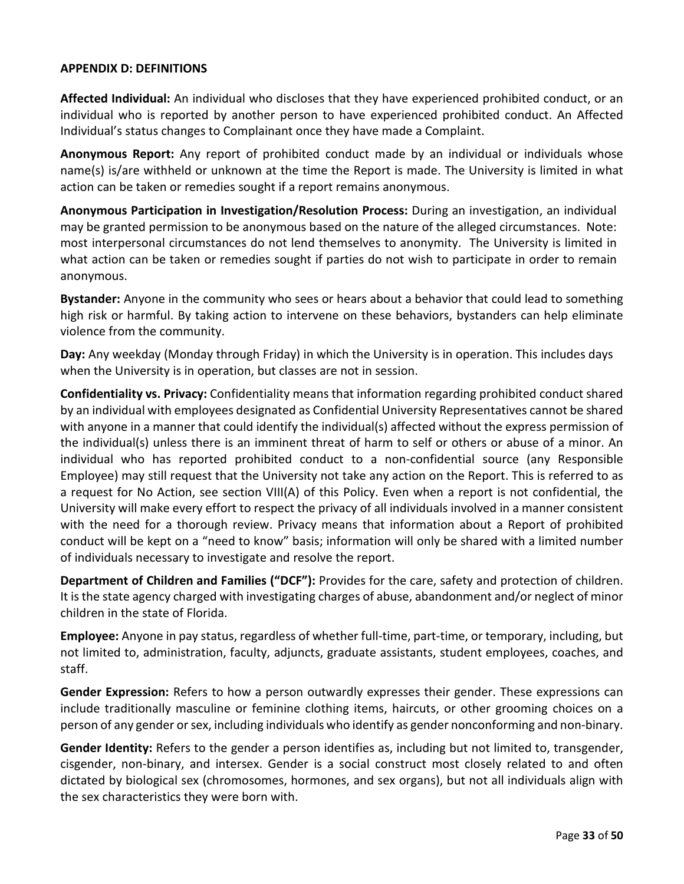### **APPENDIX D: DEFINITIONS**

**Affected Individual:** An individual who discloses that they have experienced prohibited conduct, or an individual who is reported by another person to have experienced prohibited conduct. An Affected Individual's status changes to Complainant once they have made a Complaint.

**Anonymous Report:** Any report of prohibited conduct made by an individual or individuals whose name(s) is/are withheld or unknown at the time the Report is made. The University is limited in what action can be taken or remedies sought if a report remains anonymous.

**Anonymous Participation in Investigation/Resolution Process:** During an investigation, an individual may be granted permission to be anonymous based on the nature of the alleged circumstances. Note: most interpersonal circumstances do not lend themselves to anonymity. The University is limited in what action can be taken or remedies sought if parties do not wish to participate in order to remain anonymous.

**Bystander:** Anyone in the community who sees or hears about a behavior that could lead to something high risk or harmful. By taking action to intervene on these behaviors, bystanders can help eliminate violence from the community.

**Day:** Any weekday (Monday through Friday) in which the University is in operation. This includes days when the University is in operation, but classes are not in session.

**Confidentiality vs. Privacy:** Confidentiality means that information regarding prohibited conduct shared by an individual with employees designated as Confidential University Representatives cannot be shared with anyone in a manner that could identify the individual(s) affected without the express permission of the individual(s) unless there is an imminent threat of harm to self or others or abuse of a minor. An individual who has reported prohibited conduct to a non-confidential source (any Responsible Employee) may still request that the University not take any action on the Report. This is referred to as a request for No Action, see section VIII(A) of this Policy. Even when a report is not confidential, the University will make every effort to respect the privacy of all individuals involved in a manner consistent with the need for a thorough review. Privacy means that information about a Report of prohibited conduct will be kept on a "need to know" basis; information will only be shared with a limited number of individuals necessary to investigate and resolve the report.

**Department of Children and Families ("DCF"):** Provides for the care, safety and protection of children. It is the state agency charged with investigating charges of abuse, abandonment and/or neglect of minor children in the state of Florida.

**Employee:** Anyone in pay status, regardless of whether full-time, part-time, or temporary, including, but not limited to, administration, faculty, adjuncts, graduate assistants, student employees, coaches, and staff.

**Gender Expression:** Refers to how a person outwardly expresses their gender. These expressions can include traditionally masculine or feminine clothing items, haircuts, or other grooming choices on a person of any gender or sex, including individuals who identify as gender nonconforming and non-binary.

**Gender Identity:** Refers to the gender a person identifies as, including but not limited to, transgender, cisgender, non-binary, and intersex. Gender is a social construct most closely related to and often dictated by biological sex (chromosomes, hormones, and sex organs), but not all individuals align with the sex characteristics they were born with.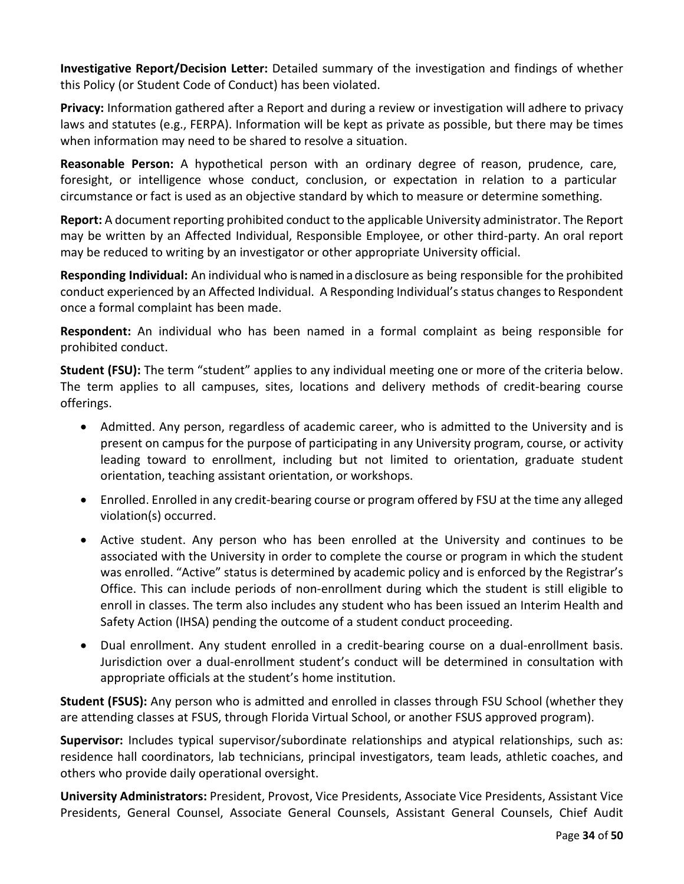**Investigative Report/Decision Letter:** Detailed summary of the investigation and findings of whether this Policy (or Student Code of Conduct) has been violated.

**Privacy:** Information gathered after a Report and during a review or investigation will adhere to privacy laws and statutes (e.g., FERPA). Information will be kept as private as possible, but there may be times when information may need to be shared to resolve a situation.

**Reasonable Person:** A hypothetical person with an ordinary degree of reason, prudence, care, foresight, or intelligence whose conduct, conclusion, or expectation in relation to a particular circumstance or fact is used as an objective standard by which to measure or determine something.

**Report:** A document reporting prohibited conduct to the applicable University administrator. The Report may be written by an Affected Individual, Responsible Employee, or other third-party. An oral report may be reduced to writing by an investigator or other appropriate University official.

**Responding Individual:** An individual who is named in a disclosure as being responsible for the prohibited conduct experienced by an Affected Individual. A Responding Individual's status changes to Respondent once a formal complaint has been made.

**Respondent:** An individual who has been named in a formal complaint as being responsible for prohibited conduct.

**Student (FSU):** The term "student" applies to any individual meeting one or more of the criteria below. The term applies to all campuses, sites, locations and delivery methods of credit-bearing course offerings.

- Admitted. Any person, regardless of academic career, who is admitted to the University and is present on campus for the purpose of participating in any University program, course, or activity leading toward to enrollment, including but not limited to orientation, graduate student orientation, teaching assistant orientation, or workshops.
- Enrolled. Enrolled in any credit-bearing course or program offered by FSU at the time any alleged violation(s) occurred.
- Active student. Any person who has been enrolled at the University and continues to be associated with the University in order to complete the course or program in which the student was enrolled. "Active" status is determined by academic policy and is enforced by the Registrar's Office. This can include periods of non-enrollment during which the student is still eligible to enroll in classes. The term also includes any student who has been issued an Interim Health and Safety Action (IHSA) pending the outcome of a student conduct proceeding.
- Dual enrollment. Any student enrolled in a credit-bearing course on a dual-enrollment basis. Jurisdiction over a dual-enrollment student's conduct will be determined in consultation with appropriate officials at the student's home institution.

**Student (FSUS):** Any person who is admitted and enrolled in classes through FSU School (whether they are attending classes at FSUS, through Florida Virtual School, or another FSUS approved program).

**Supervisor:** Includes typical supervisor/subordinate relationships and atypical relationships, such as: residence hall coordinators, lab technicians, principal investigators, team leads, athletic coaches, and others who provide daily operational oversight.

**University Administrators:** President, Provost, Vice Presidents, Associate Vice Presidents, Assistant Vice Presidents, General Counsel, Associate General Counsels, Assistant General Counsels, Chief Audit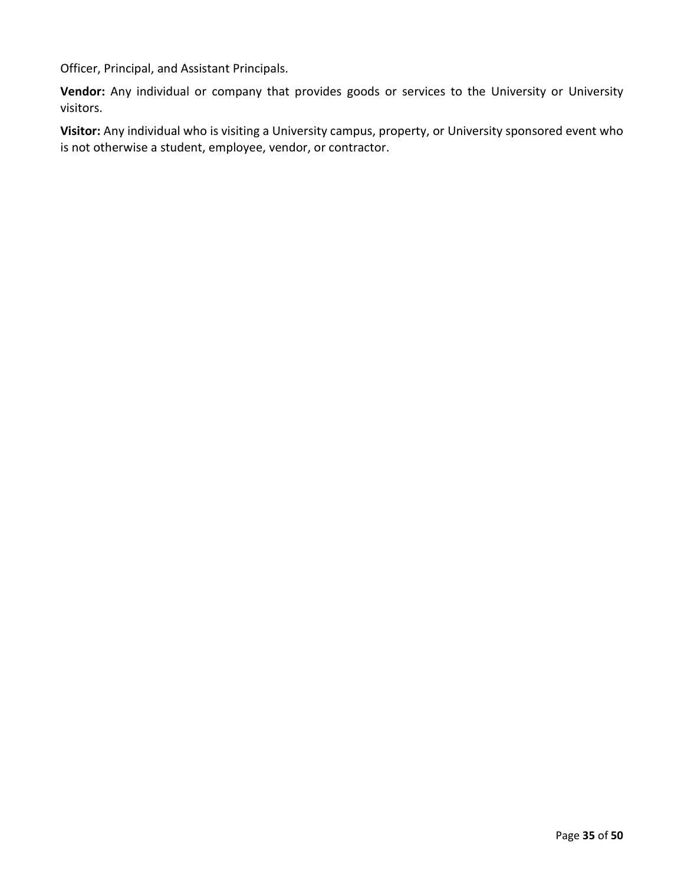Officer, Principal, and Assistant Principals.

**Vendor:** Any individual or company that provides goods or services to the University or University visitors.

**Visitor:** Any individual who is visiting a University campus, property, or University sponsored event who is not otherwise a student, employee, vendor, or contractor.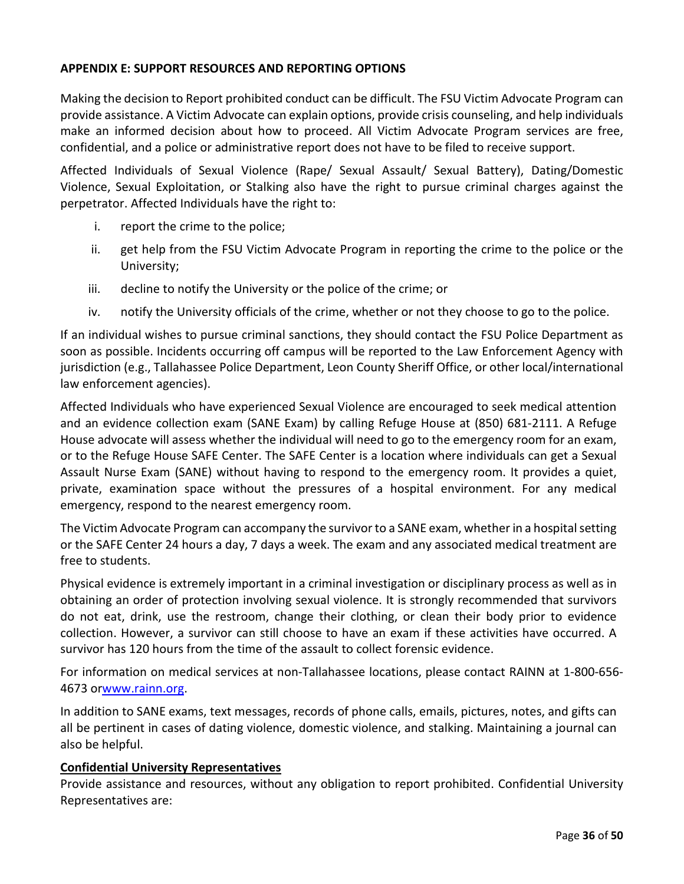### **APPENDIX E: SUPPORT RESOURCES AND REPORTING OPTIONS**

Making the decision to Report prohibited conduct can be difficult. The FSU Victim Advocate Program can provide assistance. A Victim Advocate can explain options, provide crisis counseling, and help individuals make an informed decision about how to proceed. All Victim Advocate Program services are free, confidential, and a police or administrative report does not have to be filed to receive support.

Affected Individuals of Sexual Violence (Rape/ Sexual Assault/ Sexual Battery), Dating/Domestic Violence, Sexual Exploitation, or Stalking also have the right to pursue criminal charges against the perpetrator. Affected Individuals have the right to:

- i. report the crime to the police;
- ii. get help from the FSU Victim Advocate Program in reporting the crime to the police or the University;
- iii. decline to notify the University or the police of the crime; or
- iv. notify the University officials of the crime, whether or not they choose to go to the police.

If an individual wishes to pursue criminal sanctions, they should contact the FSU Police Department as soon as possible. Incidents occurring off campus will be reported to the Law Enforcement Agency with jurisdiction (e.g., Tallahassee Police Department, Leon County Sheriff Office, or other local/international law enforcement agencies).

Affected Individuals who have experienced Sexual Violence are encouraged to seek medical attention and an evidence collection exam (SANE Exam) by calling Refuge House at (850) 681-2111. A Refuge House advocate will assess whether the individual will need to go to the emergency room for an exam, or to the Refuge House SAFE Center. The SAFE Center is a location where individuals can get a Sexual Assault Nurse Exam (SANE) without having to respond to the emergency room. It provides a quiet, private, examination space without the pressures of a hospital environment. For any medical emergency, respond to the nearest emergency room.

The Victim Advocate Program can accompany the survivor to a SANE exam, whether in a hospital setting or the SAFE Center 24 hours a day, 7 days a week. The exam and any associated medical treatment are free to students.

Physical evidence is extremely important in a criminal investigation or disciplinary process as well as in obtaining an order of protection involving sexual violence. It is strongly recommended that survivors do not eat, drink, use the restroom, change their clothing, or clean their body prior to evidence collection. However, a survivor can still choose to have an exam if these activities have occurred. A survivor has 120 hours from the time of the assault to collect forensic evidence.

For information on medical services at non-Tallahassee locations, please contact RAINN at 1-800-656- 4673 o[rwww.rainn.org.](http://www.rainn.org/)

In addition to SANE exams, text messages, records of phone calls, emails, pictures, notes, and gifts can all be pertinent in cases of dating violence, domestic violence, and stalking. Maintaining a journal can also be helpful.

### **Confidential University Representatives**

Provide assistance and resources, without any obligation to report prohibited. Confidential University Representatives are: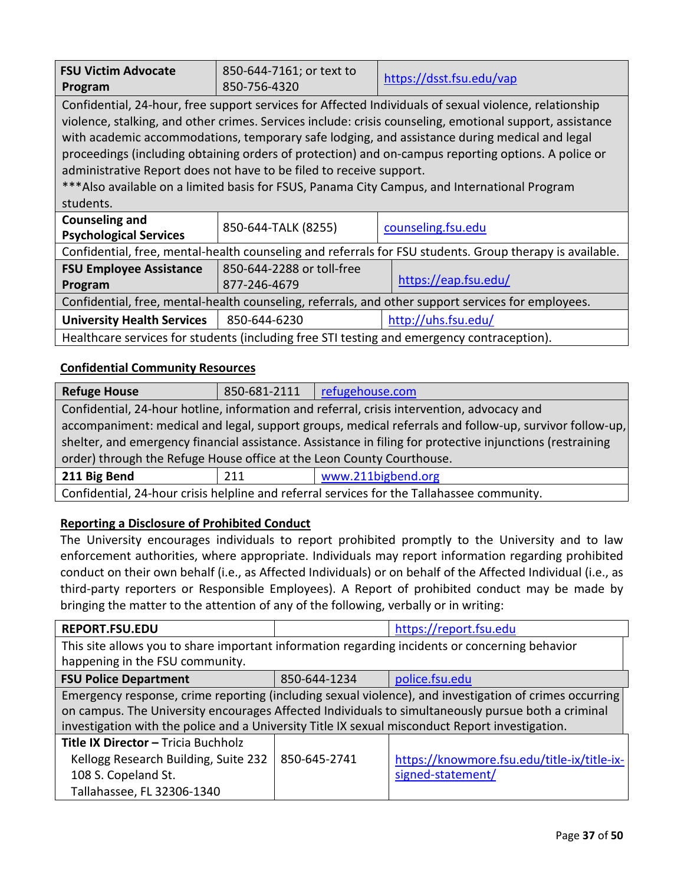| <b>FSU Victim Advocate</b><br>Program                                                                                                                                                                                                                                                                                                                                                                                                                                                                                                                                                              | 850-644-7161; or text to<br>850-756-4320  | https://dsst.fsu.edu/vap |  |
|----------------------------------------------------------------------------------------------------------------------------------------------------------------------------------------------------------------------------------------------------------------------------------------------------------------------------------------------------------------------------------------------------------------------------------------------------------------------------------------------------------------------------------------------------------------------------------------------------|-------------------------------------------|--------------------------|--|
| Confidential, 24-hour, free support services for Affected Individuals of sexual violence, relationship<br>violence, stalking, and other crimes. Services include: crisis counseling, emotional support, assistance<br>with academic accommodations, temporary safe lodging, and assistance during medical and legal<br>proceedings (including obtaining orders of protection) and on-campus reporting options. A police or<br>administrative Report does not have to be filed to receive support.<br>*** Also available on a limited basis for FSUS, Panama City Campus, and International Program |                                           |                          |  |
| students.                                                                                                                                                                                                                                                                                                                                                                                                                                                                                                                                                                                          |                                           |                          |  |
| <b>Counseling and</b><br><b>Psychological Services</b>                                                                                                                                                                                                                                                                                                                                                                                                                                                                                                                                             | 850-644-TALK (8255)<br>counseling.fsu.edu |                          |  |
| Confidential, free, mental-health counseling and referrals for FSU students. Group therapy is available.                                                                                                                                                                                                                                                                                                                                                                                                                                                                                           |                                           |                          |  |
| <b>FSU Employee Assistance</b>                                                                                                                                                                                                                                                                                                                                                                                                                                                                                                                                                                     | 850-644-2288 or toll-free                 |                          |  |
| Program                                                                                                                                                                                                                                                                                                                                                                                                                                                                                                                                                                                            | https://eap.fsu.edu/<br>877-246-4679      |                          |  |
| Confidential, free, mental-health counseling, referrals, and other support services for employees.                                                                                                                                                                                                                                                                                                                                                                                                                                                                                                 |                                           |                          |  |
| <b>University Health Services</b>                                                                                                                                                                                                                                                                                                                                                                                                                                                                                                                                                                  | http://uhs.fsu.edu/<br>850-644-6230       |                          |  |
| Healthcare services for students (including free STI testing and emergency contraception).                                                                                                                                                                                                                                                                                                                                                                                                                                                                                                         |                                           |                          |  |

# **Confidential Community Resources**

| <b>Refuge House</b>                                                                                       | 850-681-2111 | refugehouse.com    |  |
|-----------------------------------------------------------------------------------------------------------|--------------|--------------------|--|
| Confidential, 24-hour hotline, information and referral, crisis intervention, advocacy and                |              |                    |  |
| accompaniment: medical and legal, support groups, medical referrals and follow-up, survivor follow-up,    |              |                    |  |
| shelter, and emergency financial assistance. Assistance in filing for protective injunctions (restraining |              |                    |  |
| order) through the Refuge House office at the Leon County Courthouse.                                     |              |                    |  |
| 211 Big Bend                                                                                              | 211          | www.211bigbend.org |  |
| Confidential, 24-hour crisis helpline and referral services for the Tallahassee community.                |              |                    |  |
|                                                                                                           |              |                    |  |

# **Reporting a Disclosure of Prohibited Conduct**

The University encourages individuals to report prohibited promptly to the University and to law enforcement authorities, where appropriate. Individuals may report information regarding prohibited conduct on their own behalf (i.e., as Affected Individuals) or on behalf of the Affected Individual (i.e., as third-party reporters or Responsible Employees). A Report of prohibited conduct may be made by bringing the matter to the attention of any of the following, verbally or in writing:

| <b>REPORT.FSU.EDU</b>                                                                                                                                                                                                                                                                                           |              | https://report.fsu.edu                                           |  |  |
|-----------------------------------------------------------------------------------------------------------------------------------------------------------------------------------------------------------------------------------------------------------------------------------------------------------------|--------------|------------------------------------------------------------------|--|--|
| This site allows you to share important information regarding incidents or concerning behavior                                                                                                                                                                                                                  |              |                                                                  |  |  |
| happening in the FSU community.                                                                                                                                                                                                                                                                                 |              |                                                                  |  |  |
| <b>FSU Police Department</b>                                                                                                                                                                                                                                                                                    | 850-644-1234 | police.fsu.edu                                                   |  |  |
| Emergency response, crime reporting (including sexual violence), and investigation of crimes occurring<br>on campus. The University encourages Affected Individuals to simultaneously pursue both a criminal<br>investigation with the police and a University Title IX sexual misconduct Report investigation. |              |                                                                  |  |  |
| Title IX Director - Tricia Buchholz<br>Kellogg Research Building, Suite 232<br>108 S. Copeland St.<br>Tallahassee, FL 32306-1340                                                                                                                                                                                | 850-645-2741 | https://knowmore.fsu.edu/title-ix/title-ix-<br>signed-statement/ |  |  |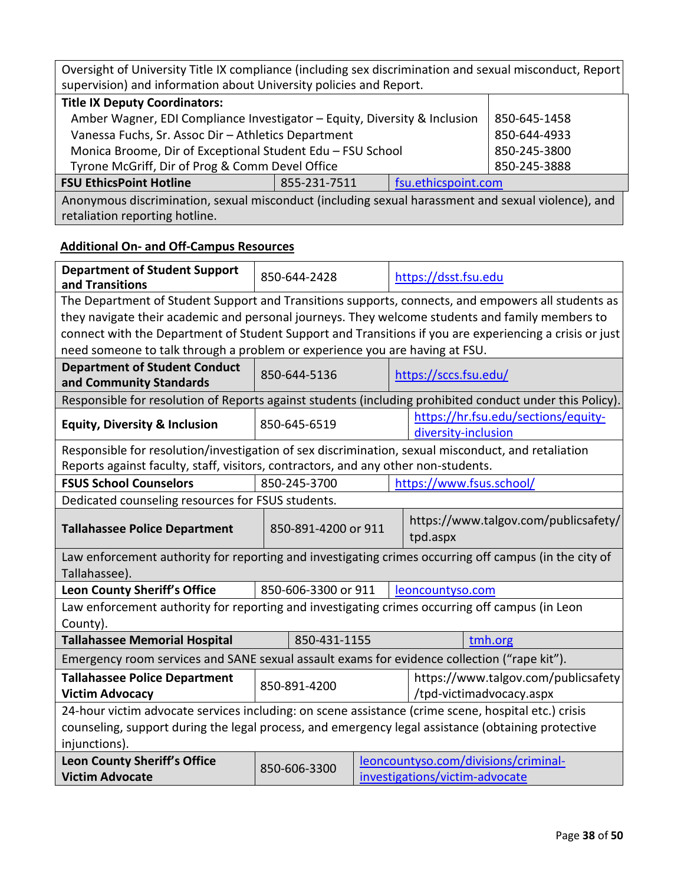| Oversight of University Title IX compliance (including sex discrimination and sexual misconduct, Report<br>supervision) and information about University policies and Report. |  |  |              |
|-------------------------------------------------------------------------------------------------------------------------------------------------------------------------------|--|--|--------------|
| <b>Title IX Deputy Coordinators:</b>                                                                                                                                          |  |  |              |
| Amber Wagner, EDI Compliance Investigator - Equity, Diversity & Inclusion                                                                                                     |  |  | 850-645-1458 |
| Vanessa Fuchs, Sr. Assoc Dir - Athletics Department                                                                                                                           |  |  | 850-644-4933 |
| Monica Broome, Dir of Exceptional Student Edu - FSU School                                                                                                                    |  |  | 850-245-3800 |
| Tyrone McGriff, Dir of Prog & Comm Devel Office                                                                                                                               |  |  | 850-245-3888 |
| <b>FSU EthicsPoint Hotline</b><br>fsu.ethicspoint.com<br>855-231-7511                                                                                                         |  |  |              |
| Anonymous discrimination, sexual misconduct (including sexual harassment and sexual violence), and                                                                            |  |  |              |

retaliation reporting hotline.

# **Additional On- and Off-Campus Resources**

| <b>Department of Student Support</b><br>and Transitions                                                                | 850-644-2428                                                                       |                                                            | https://dsst.fsu.edu                                                                                     |  |  |
|------------------------------------------------------------------------------------------------------------------------|------------------------------------------------------------------------------------|------------------------------------------------------------|----------------------------------------------------------------------------------------------------------|--|--|
|                                                                                                                        |                                                                                    |                                                            | The Department of Student Support and Transitions supports, connects, and empowers all students as       |  |  |
|                                                                                                                        |                                                                                    |                                                            | they navigate their academic and personal journeys. They welcome students and family members to          |  |  |
|                                                                                                                        |                                                                                    |                                                            | connect with the Department of Student Support and Transitions if you are experiencing a crisis or just  |  |  |
| need someone to talk through a problem or experience you are having at FSU.                                            |                                                                                    |                                                            |                                                                                                          |  |  |
| <b>Department of Student Conduct</b><br>and Community Standards                                                        | 850-644-5136<br>https://sccs.fsu.edu/                                              |                                                            |                                                                                                          |  |  |
|                                                                                                                        |                                                                                    |                                                            | Responsible for resolution of Reports against students (including prohibited conduct under this Policy). |  |  |
| <b>Equity, Diversity &amp; Inclusion</b>                                                                               | 850-645-6519                                                                       | https://hr.fsu.edu/sections/equity-<br>diversity-inclusion |                                                                                                          |  |  |
| Responsible for resolution/investigation of sex discrimination, sexual misconduct, and retaliation                     |                                                                                    |                                                            |                                                                                                          |  |  |
|                                                                                                                        | Reports against faculty, staff, visitors, contractors, and any other non-students. |                                                            |                                                                                                          |  |  |
| 850-245-3700<br><b>FSUS School Counselors</b><br>https://www.fsus.school/                                              |                                                                                    |                                                            |                                                                                                          |  |  |
| Dedicated counseling resources for FSUS students.                                                                      |                                                                                    |                                                            |                                                                                                          |  |  |
| <b>Tallahassee Police Department</b>                                                                                   | 850-891-4200 or 911                                                                |                                                            | https://www.talgov.com/publicsafety/<br>tpd.aspx                                                         |  |  |
| Law enforcement authority for reporting and investigating crimes occurring off campus (in the city of<br>Tallahassee). |                                                                                    |                                                            |                                                                                                          |  |  |
| Leon County Sheriff's Office                                                                                           | 850-606-3300 or 911<br>leoncountyso.com                                            |                                                            |                                                                                                          |  |  |
| Law enforcement authority for reporting and investigating crimes occurring off campus (in Leon<br>County).             |                                                                                    |                                                            |                                                                                                          |  |  |
| <b>Tallahassee Memorial Hospital</b>                                                                                   | 850-431-1155<br>tmh.org                                                            |                                                            |                                                                                                          |  |  |
| Emergency room services and SANE sexual assault exams for evidence collection ("rape kit").                            |                                                                                    |                                                            |                                                                                                          |  |  |
| <b>Tallahassee Police Department</b><br><b>Victim Advocacy</b>                                                         | 850-891-4200                                                                       |                                                            | https://www.talgov.com/publicsafety<br>/tpd-victimadvocacy.aspx                                          |  |  |
| 24-hour victim advocate services including: on scene assistance (crime scene, hospital etc.) crisis                    |                                                                                    |                                                            |                                                                                                          |  |  |
| counseling, support during the legal process, and emergency legal assistance (obtaining protective<br>injunctions).    |                                                                                    |                                                            |                                                                                                          |  |  |
| <b>Leon County Sheriff's Office</b>                                                                                    | leoncountyso.com/divisions/criminal-                                               |                                                            |                                                                                                          |  |  |
| <b>Victim Advocate</b>                                                                                                 | 850-606-3300<br>investigations/victim-advocate                                     |                                                            |                                                                                                          |  |  |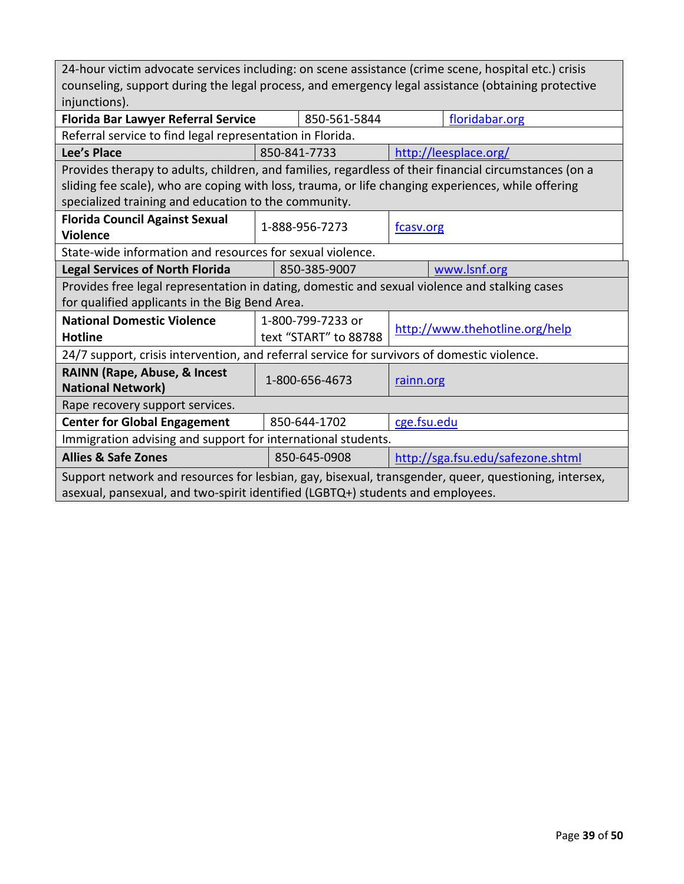| 24-hour victim advocate services including: on scene assistance (crime scene, hospital etc.) crisis   |                                       |                       |                                   |                |  |
|-------------------------------------------------------------------------------------------------------|---------------------------------------|-----------------------|-----------------------------------|----------------|--|
| counseling, support during the legal process, and emergency legal assistance (obtaining protective    |                                       |                       |                                   |                |  |
| injunctions).                                                                                         |                                       |                       |                                   |                |  |
| <b>Florida Bar Lawyer Referral Service</b>                                                            |                                       | 850-561-5844          |                                   | floridabar.org |  |
| Referral service to find legal representation in Florida.                                             |                                       |                       |                                   |                |  |
| Lee's Place                                                                                           | 850-841-7733<br>http://leesplace.org/ |                       |                                   |                |  |
| Provides therapy to adults, children, and families, regardless of their financial circumstances (on a |                                       |                       |                                   |                |  |
| sliding fee scale), who are coping with loss, trauma, or life changing experiences, while offering    |                                       |                       |                                   |                |  |
| specialized training and education to the community.                                                  |                                       |                       |                                   |                |  |
| <b>Florida Council Against Sexual</b>                                                                 | 1-888-956-7273                        |                       |                                   |                |  |
| <b>Violence</b>                                                                                       |                                       |                       | fcasv.org                         |                |  |
| State-wide information and resources for sexual violence.                                             |                                       |                       |                                   |                |  |
| <b>Legal Services of North Florida</b>                                                                |                                       | 850-385-9007          |                                   | www.lsnf.org   |  |
| Provides free legal representation in dating, domestic and sexual violence and stalking cases         |                                       |                       |                                   |                |  |
| for qualified applicants in the Big Bend Area.                                                        |                                       |                       |                                   |                |  |
| <b>National Domestic Violence</b>                                                                     | 1-800-799-7233 or                     |                       |                                   |                |  |
| <b>Hotline</b>                                                                                        |                                       | text "START" to 88788 | http://www.thehotline.org/help    |                |  |
| 24/7 support, crisis intervention, and referral service for survivors of domestic violence.           |                                       |                       |                                   |                |  |
| RAINN (Rape, Abuse, & Incest                                                                          | 1-800-656-4673                        |                       |                                   |                |  |
| <b>National Network)</b>                                                                              | rainn.org                             |                       |                                   |                |  |
| Rape recovery support services.                                                                       |                                       |                       |                                   |                |  |
| <b>Center for Global Engagement</b>                                                                   |                                       | 850-644-1702          | cge.fsu.edu                       |                |  |
| Immigration advising and support for international students.                                          |                                       |                       |                                   |                |  |
| <b>Allies &amp; Safe Zones</b>                                                                        |                                       | 850-645-0908          | http://sga.fsu.edu/safezone.shtml |                |  |
| Support network and resources for lesbian, gay, bisexual, transgender, queer, questioning, intersex,  |                                       |                       |                                   |                |  |
| asexual, pansexual, and two-spirit identified (LGBTQ+) students and employees.                        |                                       |                       |                                   |                |  |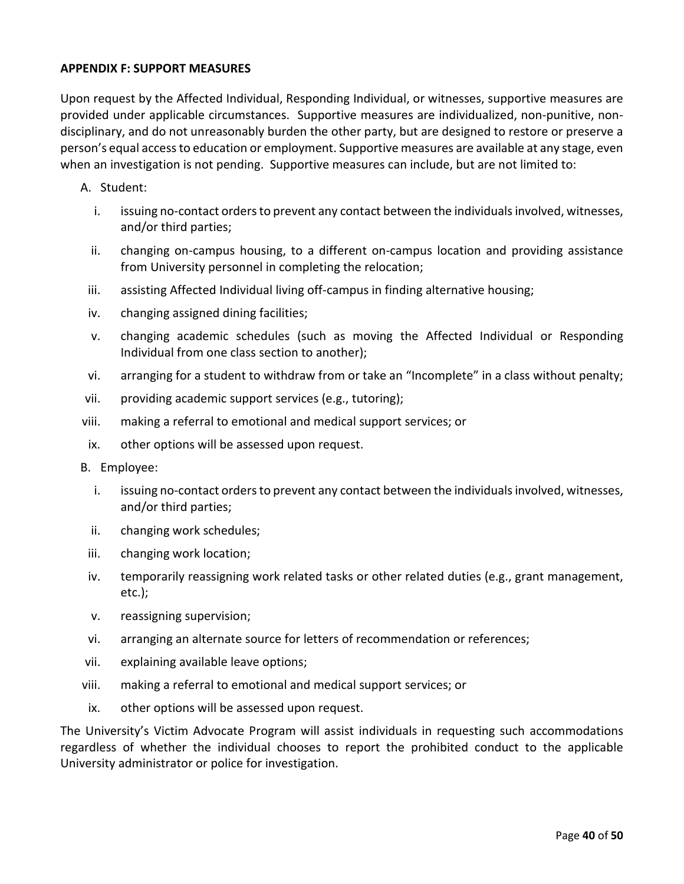### **APPENDIX F: SUPPORT MEASURES**

Upon request by the Affected Individual, Responding Individual, or witnesses, supportive measures are provided under applicable circumstances. Supportive measures are individualized, non-punitive, nondisciplinary, and do not unreasonably burden the other party, but are designed to restore or preserve a person's equal access to education or employment. Supportive measures are available at any stage, even when an investigation is not pending. Supportive measures can include, but are not limited to:

#### A. Student:

- i. issuing no-contact orders to prevent any contact between the individuals involved, witnesses, and/or third parties;
- ii. changing on-campus housing, to a different on-campus location and providing assistance from University personnel in completing the relocation;
- iii. assisting Affected Individual living off-campus in finding alternative housing;
- iv. changing assigned dining facilities;
- v. changing academic schedules (such as moving the Affected Individual or Responding Individual from one class section to another);
- vi. arranging for a student to withdraw from or take an "Incomplete" in a class without penalty;
- vii. providing academic support services (e.g., tutoring);
- viii. making a referral to emotional and medical support services; or
- ix. other options will be assessed upon request.
- B. Employee:
	- i. issuing no-contact orders to prevent any contact between the individuals involved, witnesses, and/or third parties;
	- ii. changing work schedules;
- iii. changing work location;
- iv. temporarily reassigning work related tasks or other related duties (e.g., grant management, etc.);
- v. reassigning supervision;
- vi. arranging an alternate source for letters of recommendation or references;
- vii. explaining available leave options;
- viii. making a referral to emotional and medical support services; or
- ix. other options will be assessed upon request.

The University's Victim Advocate Program will assist individuals in requesting such accommodations regardless of whether the individual chooses to report the prohibited conduct to the applicable University administrator or police for investigation.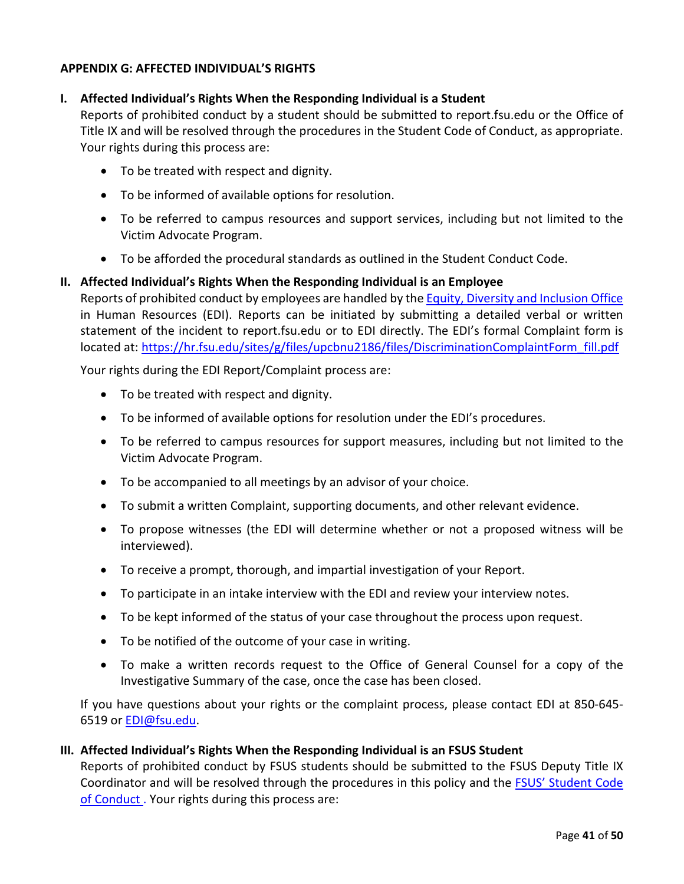### **APPENDIX G: AFFECTED INDIVIDUAL'S RIGHTS**

### **I. Affected Individual's Rights When the Responding Individual is a Student**

Reports of prohibited conduct by a student should be submitted to report.fsu.edu or the Office of Title IX and will be resolved through the procedures in the Student Code of Conduct, as appropriate. Your rights during this process are:

- To be treated with respect and dignity.
- To be informed of available options for resolution.
- To be referred to campus resources and support services, including but not limited to the Victim Advocate Program.
- To be afforded the procedural standards as outlined in the Student Conduct Code.

### **II. Affected Individual's Rights When the Responding Individual is an Employee**

Reports of prohibited conduct by employees are handled by th[e Equity, Diversity and Inclusion Office](https://hr.fsu.edu/sections/equity-diversity-inclusion) in Human Resources (EDI). Reports can be initiated by submitting a detailed verbal or written statement of the incident to report.fsu.edu or to EDI directly. The EDI's formal Complaint form is located at: [https://hr.fsu.edu/sites/g/files/upcbnu2186/files/DiscriminationComplaintForm\\_fill.pdf](https://hr.fsu.edu/sites/g/files/upcbnu2186/files/DiscriminationComplaintForm_fill.pdf)

Your rights during the EDI Report/Complaint process are:

- To be treated with respect and dignity.
- To be informed of available options for resolution under the EDI's procedures.
- To be referred to campus resources for support measures, including but not limited to the Victim Advocate Program.
- To be accompanied to all meetings by an advisor of your choice.
- To submit a written Complaint, supporting documents, and other relevant evidence.
- To propose witnesses (the EDI will determine whether or not a proposed witness will be interviewed).
- To receive a prompt, thorough, and impartial investigation of your Report.
- To participate in an intake interview with the EDI and review your interview notes.
- To be kept informed of the status of your case throughout the process upon request.
- To be notified of the outcome of your case in writing.
- To make a written records request to the Office of General Counsel for a copy of the Investigative Summary of the case, once the case has been closed.

If you have questions about your rights or the complaint process, please contact EDI at 850-645- 6519 or [EDI@fsu.edu.](mailto:EDI@fsu.edu)

### **III. Affected Individual's Rights When the Responding Individual is an FSUS Student**

Reports of prohibited conduct by FSUS students should be submitted to the FSUS Deputy Title IX Coordinator and will be resolved through the procedures in this policy and the [FSUS' Student Code](http://fsus.schoolwires.net/domain/55)  [of Conduct .](http://fsus.schoolwires.net/domain/55) Your rights during this process are: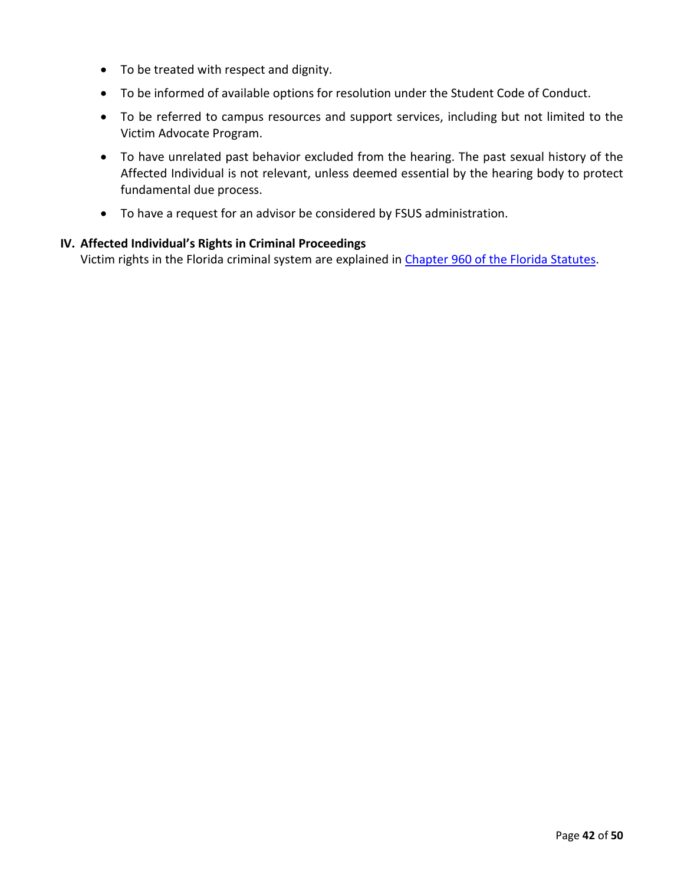- To be treated with respect and dignity.
- To be informed of available options for resolution under the Student Code of Conduct.
- To be referred to campus resources and support services, including but not limited to the Victim Advocate Program.
- To have unrelated past behavior excluded from the hearing. The past sexual history of the Affected Individual is not relevant, unless deemed essential by the hearing body to protect fundamental due process.
- To have a request for an advisor be considered by FSUS administration.

### **IV. Affected Individual's Rights in Criminal Proceedings**

Victim rights in the Florida criminal system are explained in Chapter 960 of the Florida Statutes.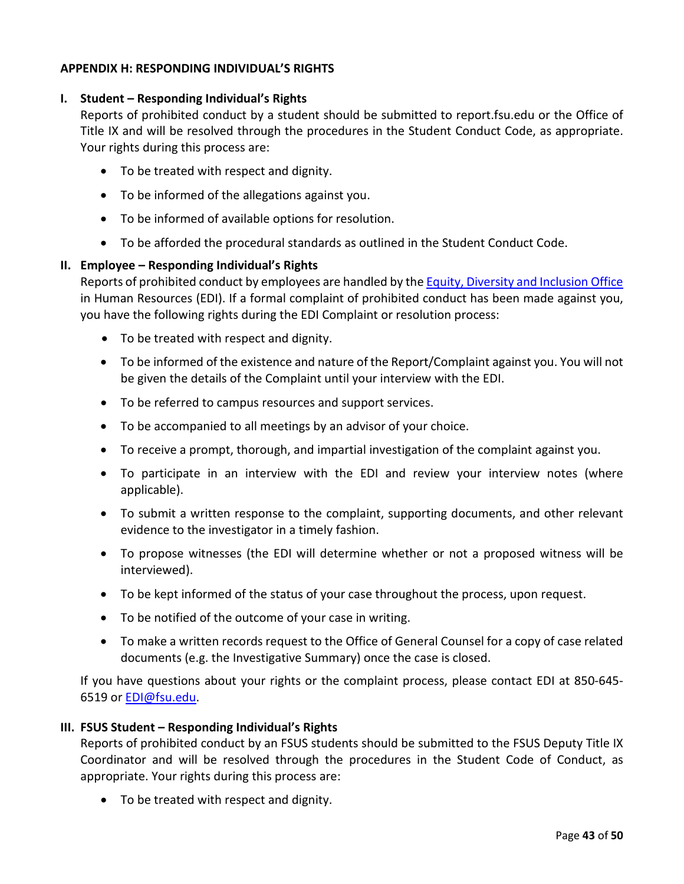### **APPENDIX H: RESPONDING INDIVIDUAL'S RIGHTS**

#### **I. Student – Responding Individual's Rights**

Reports of prohibited conduct by a student should be submitted to report.fsu.edu or the Office of Title IX and will be resolved through the procedures in the Student Conduct Code, as appropriate. Your rights during this process are:

- To be treated with respect and dignity.
- To be informed of the allegations against you.
- To be informed of available options for resolution.
- To be afforded the procedural standards as outlined in the Student Conduct Code.

### **II. Employee – Responding Individual's Rights**

Reports of prohibited conduct by employees are handled by th[e Equity, Diversity and Inclusion Office](https://hr.fsu.edu/sections/equity-diversity-inclusion) in Human Resources (EDI). If a formal complaint of prohibited conduct has been made against you, you have the following rights during the EDI Complaint or resolution process:

- To be treated with respect and dignity.
- To be informed of the existence and nature of the Report/Complaint against you. You will not be given the details of the Complaint until your interview with the EDI.
- To be referred to campus resources and support services.
- To be accompanied to all meetings by an advisor of your choice.
- To receive a prompt, thorough, and impartial investigation of the complaint against you.
- To participate in an interview with the EDI and review your interview notes (where applicable).
- To submit a written response to the complaint, supporting documents, and other relevant evidence to the investigator in a timely fashion.
- To propose witnesses (the EDI will determine whether or not a proposed witness will be interviewed).
- To be kept informed of the status of your case throughout the process, upon request.
- To be notified of the outcome of your case in writing.
- To make a written records request to the Office of General Counsel for a copy of case related documents (e.g. the Investigative Summary) once the case is closed.

If you have questions about your rights or the complaint process, please contact EDI at 850-645- 6519 or [EDI@fsu.edu.](mailto:EDI@fsu.edu)

#### **III. FSUS Student – Responding Individual's Rights**

Reports of prohibited conduct by an FSUS students should be submitted to the FSUS Deputy Title IX Coordinator and will be resolved through the procedures in the Student Code of Conduct, as appropriate. Your rights during this process are:

• To be treated with respect and dignity.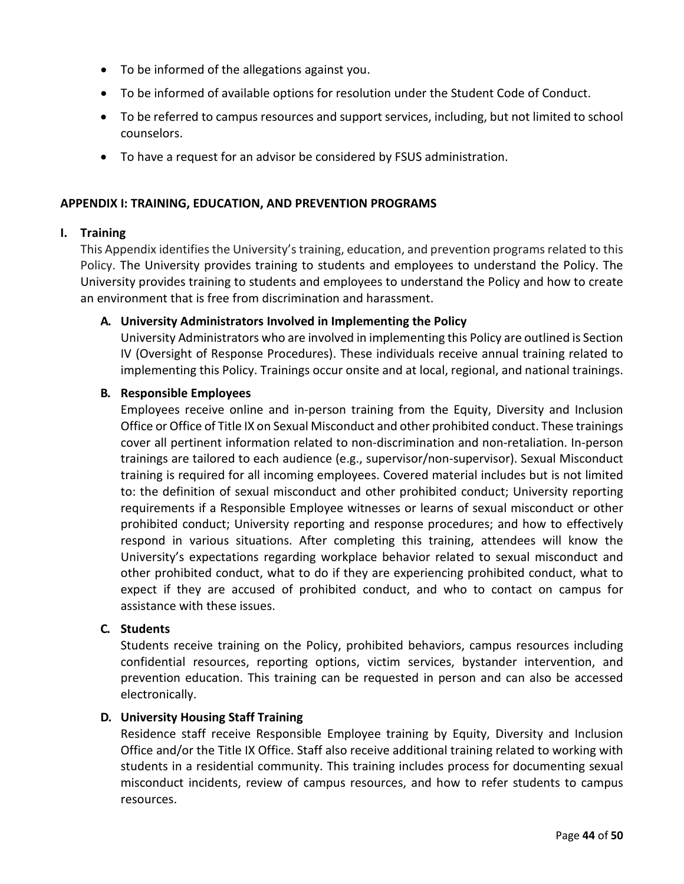- To be informed of the allegations against you.
- To be informed of available options for resolution under the Student Code of Conduct.
- To be referred to campus resources and support services, including, but not limited to school counselors.
- To have a request for an advisor be considered by FSUS administration.

#### **APPENDIX I: TRAINING, EDUCATION, AND PREVENTION PROGRAMS**

#### **I. Training**

This Appendix identifies the University's training, education, and prevention programs related to this Policy. The University provides training to students and employees to understand the Policy. The University provides training to students and employees to understand the Policy and how to create an environment that is free from discrimination and harassment.

### **A. University Administrators Involved in Implementing the Policy**

University Administrators who are involved in implementing this Policy are outlined is Section IV (Oversight of Response Procedures). These individuals receive annual training related to implementing this Policy. Trainings occur onsite and at local, regional, and national trainings.

#### **B. Responsible Employees**

Employees receive online and in-person training from the Equity, Diversity and Inclusion Office or Office of Title IX on Sexual Misconduct and other prohibited conduct. These trainings cover all pertinent information related to non-discrimination and non-retaliation. In-person trainings are tailored to each audience (e.g., supervisor/non-supervisor). Sexual Misconduct training is required for all incoming employees. Covered material includes but is not limited to: the definition of sexual misconduct and other prohibited conduct; University reporting requirements if a Responsible Employee witnesses or learns of sexual misconduct or other prohibited conduct; University reporting and response procedures; and how to effectively respond in various situations. After completing this training, attendees will know the University's expectations regarding workplace behavior related to sexual misconduct and other prohibited conduct, what to do if they are experiencing prohibited conduct, what to expect if they are accused of prohibited conduct, and who to contact on campus for assistance with these issues.

### **C. Students**

Students receive training on the Policy, prohibited behaviors, campus resources including confidential resources, reporting options, victim services, bystander intervention, and prevention education. This training can be requested in person and can also be accessed electronically.

### **D. University Housing Staff Training**

Residence staff receive Responsible Employee training by Equity, Diversity and Inclusion Office and/or the Title IX Office. Staff also receive additional training related to working with students in a residential community. This training includes process for documenting sexual misconduct incidents, review of campus resources, and how to refer students to campus resources.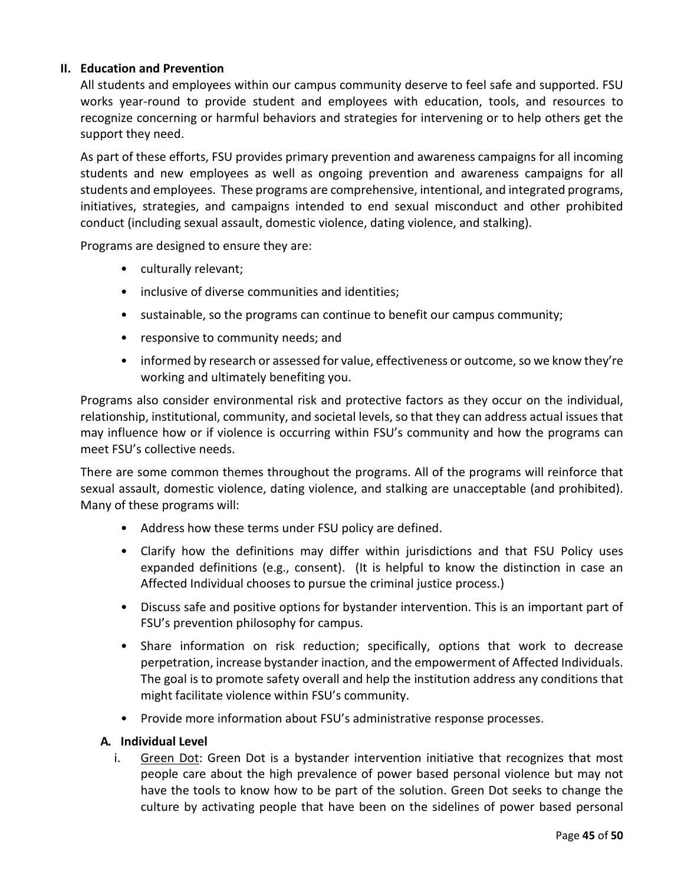## **II. Education and Prevention**

All students and employees within our campus community deserve to feel safe and supported. FSU works year-round to provide student and employees with education, tools, and resources to recognize concerning or harmful behaviors and strategies for intervening or to help others get the support they need.

As part of these efforts, FSU provides primary prevention and awareness campaigns for all incoming students and new employees as well as ongoing prevention and awareness campaigns for all students and employees. These programs are comprehensive, intentional, and integrated programs, initiatives, strategies, and campaigns intended to end sexual misconduct and other prohibited conduct (including sexual assault, domestic violence, dating violence, and stalking).

Programs are designed to ensure they are:

- culturally relevant;
- inclusive of diverse communities and identities;
- sustainable, so the programs can continue to benefit our campus community;
- responsive to community needs; and
- informed by research or assessed for value, effectiveness or outcome, so we know they're working and ultimately benefiting you.

Programs also consider environmental risk and protective factors as they occur on the individual, relationship, institutional, community, and societal levels, so that they can address actual issues that may influence how or if violence is occurring within FSU's community and how the programs can meet FSU's collective needs.

There are some common themes throughout the programs. All of the programs will reinforce that sexual assault, domestic violence, dating violence, and stalking are unacceptable (and prohibited). Many of these programs will:

- Address how these terms under FSU policy are defined.
- Clarify how the definitions may differ within jurisdictions and that FSU Policy uses expanded definitions (e.g., consent). (It is helpful to know the distinction in case an Affected Individual chooses to pursue the criminal justice process.)
- Discuss safe and positive options for bystander intervention. This is an important part of FSU's prevention philosophy for campus.
- Share information on risk reduction; specifically, options that work to decrease perpetration, increase bystander inaction, and the empowerment of Affected Individuals. The goal is to promote safety overall and help the institution address any conditions that might facilitate violence within FSU's community.
- Provide more information about FSU's administrative response processes.

#### **A. Individual Level**

i. Green Dot: Green Dot is a bystander intervention initiative that recognizes that most people care about the high prevalence of power based personal violence but may not have the tools to know how to be part of the solution. Green Dot seeks to change the culture by activating people that have been on the sidelines of power based personal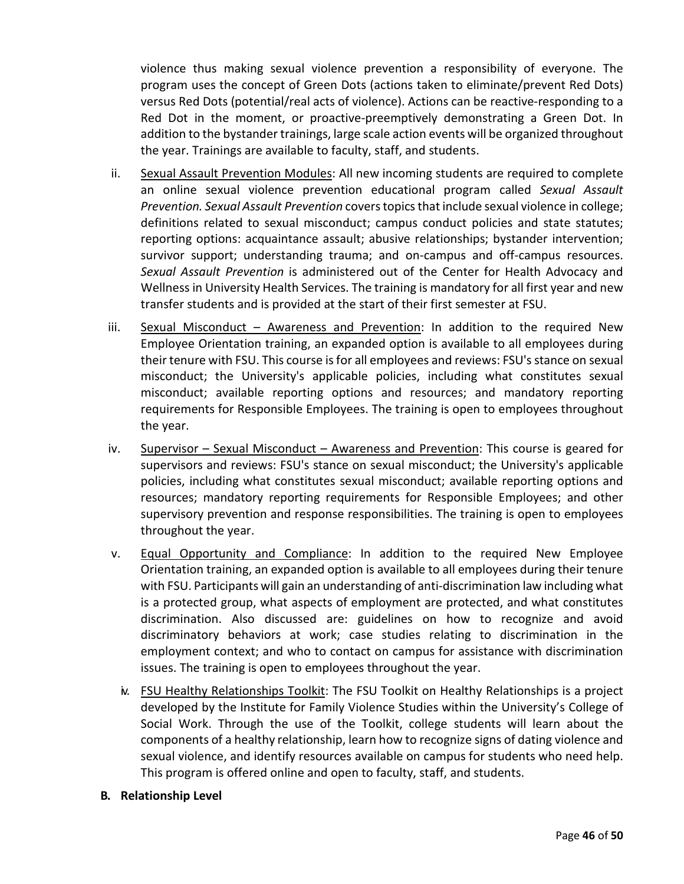violence thus making sexual violence prevention a responsibility of everyone. The program uses the concept of Green Dots (actions taken to eliminate/prevent Red Dots) versus Red Dots (potential/real acts of violence). Actions can be reactive-responding to a Red Dot in the moment, or proactive-preemptively demonstrating a Green Dot. In addition to the bystander trainings, large scale action events will be organized throughout the year. Trainings are available to faculty, staff, and students.

- ii. Sexual Assault Prevention Modules: All new incoming students are required to complete an online sexual violence prevention educational program called *Sexual Assault Prevention. Sexual Assault Prevention* covers topics that include sexual violence in college; definitions related to sexual misconduct; campus conduct policies and state statutes; reporting options: acquaintance assault; abusive relationships; bystander intervention; survivor support; understanding trauma; and on-campus and off-campus resources. *Sexual Assault Prevention* is administered out of the Center for Health Advocacy and Wellness in University Health Services. The training is mandatory for all first year and new transfer students and is provided at the start of their first semester at FSU.
- iii. Sexual Misconduct Awareness and Prevention: In addition to the required New Employee Orientation training, an expanded option is available to all employees during their tenure with FSU. This course is for all employees and reviews: FSU's stance on sexual misconduct; the University's applicable policies, including what constitutes sexual misconduct; available reporting options and resources; and mandatory reporting requirements for Responsible Employees. The training is open to employees throughout the year.
- iv. Supervisor Sexual Misconduct Awareness and Prevention: This course is geared for supervisors and reviews: FSU's stance on sexual misconduct; the University's applicable policies, including what constitutes sexual misconduct; available reporting options and resources; mandatory reporting requirements for Responsible Employees; and other supervisory prevention and response responsibilities. The training is open to employees throughout the year.
- v. Equal Opportunity and Compliance: In addition to the required New Employee Orientation training, an expanded option is available to all employees during their tenure with FSU. Participants will gain an understanding of anti-discrimination law including what is a protected group, what aspects of employment are protected, and what constitutes discrimination. Also discussed are: guidelines on how to recognize and avoid discriminatory behaviors at work; case studies relating to discrimination in the employment context; and who to contact on campus for assistance with discrimination issues. The training is open to employees throughout the year.
	- i. FSU Healthy Relationships Toolkit: The FSU Toolkit on Healthy Relationships is a project developed by the Institute for Family Violence Studies within the University's College of Social Work. Through the use of the Toolkit, college students will learn about the components of a healthy relationship, learn how to recognize signs of dating violence and sexual violence, and identify resources available on campus for students who need help. This program is offered online and open to faculty, staff, and students.
- **B. Relationship Level**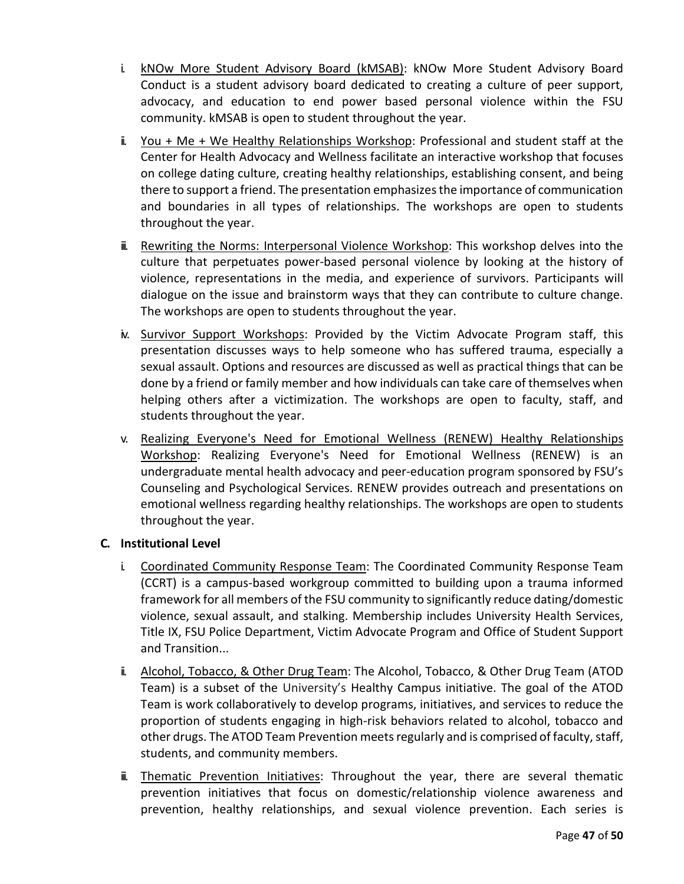- i. kNOw More Student Advisory Board (kMSAB): kNOw More Student Advisory Board Conduct is a student advisory board dedicated to creating a culture of peer support, advocacy, and education to end power based personal violence within the FSU community. kMSAB is open to student throughout the year.
- ii. You + Me + We Healthy Relationships Workshop: Professional and student staff at the Center for Health Advocacy and Wellness facilitate an interactive workshop that focuses on college dating culture, creating healthy relationships, establishing consent, and being there to support a friend. The presentation emphasizes the importance of communication and boundaries in all types of relationships. The workshops are open to students throughout the year.
- ii. Rewriting the Norms: Interpersonal Violence Workshop: This workshop delves into the culture that perpetuates power-based personal violence by looking at the history of violence, representations in the media, and experience of survivors. Participants will dialogue on the issue and brainstorm ways that they can contribute to culture change. The workshops are open to students throughout the year.
- iv. Survivor Support Workshops: Provided by the Victim Advocate Program staff, this presentation discusses ways to help someone who has suffered trauma, especially a sexual assault. Options and resources are discussed as well as practical things that can be done by a friend or family member and how individuals can take care of themselves when helping others after a victimization. The workshops are open to faculty, staff, and students throughout the year.
- v. Realizing Everyone's Need for Emotional Wellness (RENEW) Healthy Relationships Workshop: Realizing Everyone's Need for Emotional Wellness (RENEW) is an undergraduate mental health advocacy and peer-education program sponsored by FSU's Counseling and Psychological Services. RENEW provides outreach and presentations on emotional wellness regarding healthy relationships. The workshops are open to students throughout the year.

# **C. Institutional Level**

- i. Coordinated Community Response Team: The Coordinated Community Response Team (CCRT) is a campus-based workgroup committed to building upon a trauma informed framework for all members of the FSU community to significantly reduce dating/domestic violence, sexual assault, and stalking. Membership includes University Health Services, Title IX, FSU Police Department, Victim Advocate Program and Office of Student Support and Transition...
- ii. Alcohol, Tobacco, & Other Drug Team: The Alcohol, Tobacco, & Other Drug Team (ATOD Team) is a subset of the University's Healthy Campus initiative. The goal of the ATOD Team is work collaboratively to develop programs, initiatives, and services to reduce the proportion of students engaging in high-risk behaviors related to alcohol, tobacco and other drugs. The ATOD Team Prevention meets regularly and is comprised of faculty, staff, students, and community members.
- iii. Thematic Prevention Initiatives: Throughout the year, there are several thematic prevention initiatives that focus on domestic/relationship violence awareness and prevention, healthy relationships, and sexual violence prevention. Each series is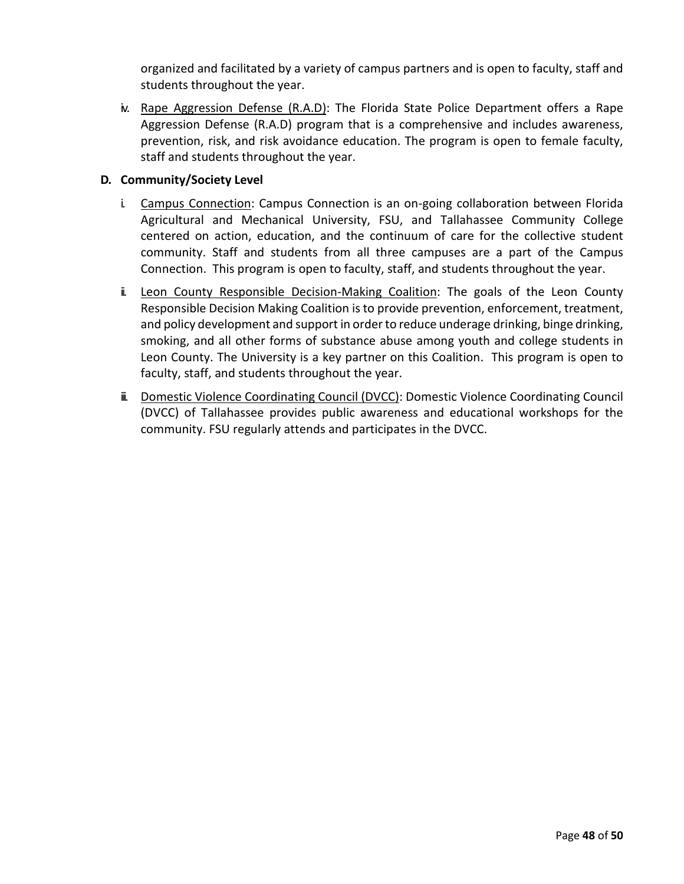organized and facilitated by a variety of campus partners and is open to faculty, staff and students throughout the year.

iv. Rape Aggression Defense (R.A.D): The Florida State Police Department offers a Rape Aggression Defense (R.A.D) program that is a comprehensive and includes awareness, prevention, risk, and risk avoidance education. The program is open to female faculty, staff and students throughout the year.

## **D. Community/Society Level**

- i. Campus Connection: Campus Connection is an on-going collaboration between Florida Agricultural and Mechanical University, FSU, and Tallahassee Community College centered on action, education, and the continuum of care for the collective student community. Staff and students from all three campuses are a part of the Campus Connection. This program is open to faculty, staff, and students throughout the year.
- ii. Leon County Responsible Decision-Making Coalition: The goals of the Leon County Responsible Decision Making Coalition is to provide prevention, enforcement, treatment, and policy development and support in order to reduce underage drinking, binge drinking, smoking, and all other forms of substance abuse among youth and college students in Leon County. The University is a key partner on this Coalition. This program is open to faculty, staff, and students throughout the year.
- iii. Domestic Violence Coordinating Council (DVCC): Domestic Violence Coordinating Council (DVCC) of Tallahassee provides public awareness and educational workshops for the community. FSU regularly attends and participates in the DVCC.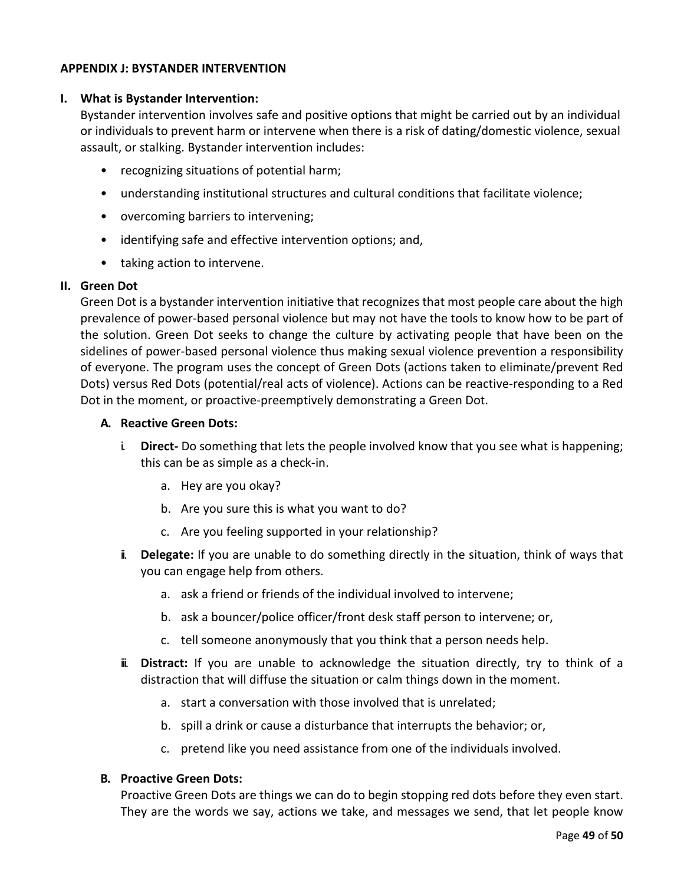### **APPENDIX J: BYSTANDER INTERVENTION**

#### **I. What is Bystander Intervention:**

Bystander intervention involves safe and positive options that might be carried out by an individual or individuals to prevent harm or intervene when there is a risk of dating/domestic violence, sexual assault, or stalking. Bystander intervention includes:

- recognizing situations of potential harm;
- understanding institutional structures and cultural conditions that facilitate violence;
- overcoming barriers to intervening;
- identifying safe and effective intervention options; and,
- taking action to intervene.

#### **II. Green Dot**

Green Dot is a bystander intervention initiative that recognizes that most people care about the high prevalence of power-based personal violence but may not have the tools to know how to be part of the solution. Green Dot seeks to change the culture by activating people that have been on the sidelines of power-based personal violence thus making sexual violence prevention a responsibility of everyone. The program uses the concept of Green Dots (actions taken to eliminate/prevent Red Dots) versus Red Dots (potential/real acts of violence). Actions can be reactive-responding to a Red Dot in the moment, or proactive-preemptively demonstrating a Green Dot.

#### **A. Reactive Green Dots:**

- i. **Direct-** Do something that lets the people involved know that you see what is happening; this can be as simple as a check-in.
	- a. Hey are you okay?
	- b. Are you sure this is what you want to do?
	- c. Are you feeling supported in your relationship?
- ii. **Delegate:** If you are unable to do something directly in the situation, think of ways that you can engage help from others.
	- a. ask a friend or friends of the individual involved to intervene;
	- b. ask a bouncer/police officer/front desk staff person to intervene; or,
	- c. tell someone anonymously that you think that a person needs help.
- iii. **Distract:** If you are unable to acknowledge the situation directly, try to think of a distraction that will diffuse the situation or calm things down in the moment.
	- a. start a conversation with those involved that is unrelated;
	- b. spill a drink or cause a disturbance that interrupts the behavior; or,
	- c. pretend like you need assistance from one of the individuals involved.

#### **B. Proactive Green Dots:**

Proactive Green Dots are things we can do to begin stopping red dots before they even start. They are the words we say, actions we take, and messages we send, that let people know